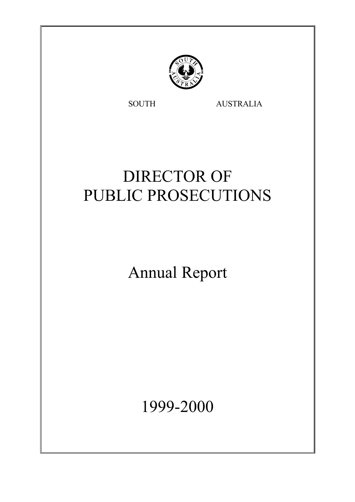

SOUTH AUSTRALIA

# DIRECTOR OF PUBLIC PROSECUTIONS

Annual Report

1999-2000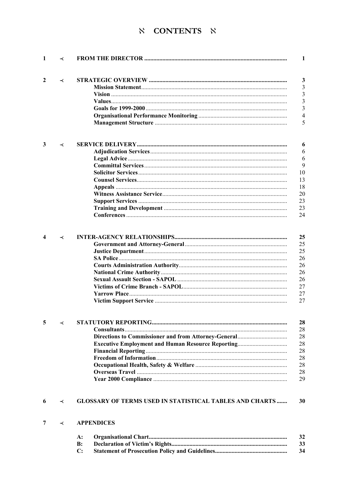# **N CONTENTS N**

| 1 | ≺ |                                                                |
|---|---|----------------------------------------------------------------|
| 2 | ≺ |                                                                |
|   |   |                                                                |
|   |   |                                                                |
|   |   |                                                                |
|   |   |                                                                |
|   |   |                                                                |
|   |   |                                                                |
|   |   |                                                                |
| 3 | ≺ |                                                                |
|   |   |                                                                |
|   |   |                                                                |
|   |   |                                                                |
|   |   |                                                                |
|   |   |                                                                |
|   |   |                                                                |
|   |   |                                                                |
|   |   |                                                                |
|   |   |                                                                |
|   |   |                                                                |
|   |   |                                                                |
|   |   |                                                                |
| 4 | ≺ |                                                                |
|   |   |                                                                |
|   |   |                                                                |
|   |   |                                                                |
|   |   |                                                                |
|   |   |                                                                |
|   |   |                                                                |
|   |   |                                                                |
|   |   |                                                                |
|   |   |                                                                |
|   |   |                                                                |
| C | ≺ |                                                                |
|   |   |                                                                |
|   |   |                                                                |
|   |   | <b>Executive Employment and Human Resource Reporting</b>       |
|   |   |                                                                |
|   |   |                                                                |
|   |   |                                                                |
|   |   |                                                                |
|   |   |                                                                |
| 6 | ≺ | <b>GLOSSARY OF TERMS USED IN STATISTICAL TABLES AND CHARTS</b> |
| 7 | ≺ | <b>APPENDICES</b>                                              |
|   |   | $A$ :                                                          |
|   |   | $\bf{B}$ :                                                     |
|   |   | $\mathbf{C}$ :                                                 |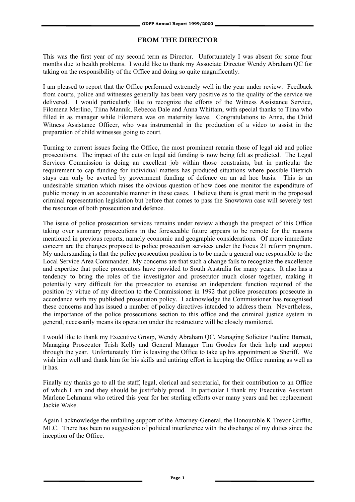# **FROM THE DIRECTOR**

This was the first year of my second term as Director. Unfortunately I was absent for some four months due to health problems. I would like to thank my Associate Director Wendy Abraham QC for taking on the responsibility of the Office and doing so quite magnificently.

I am pleased to report that the Office performed extremely well in the year under review. Feedback from courts, police and witnesses generally has been very positive as to the quality of the service we delivered. I would particularly like to recognize the efforts of the Witness Assistance Service, Filomena Merlino, Tiina Mannik, Rebecca Dale and Anna Whittam, with special thanks to Tiina who filled in as manager while Filomena was on maternity leave. Congratulations to Anna, the Child Witness Assistance Officer, who was instrumental in the production of a video to assist in the preparation of child witnesses going to court.

Turning to current issues facing the Office, the most prominent remain those of legal aid and police prosecutions. The impact of the cuts on legal aid funding is now being felt as predicted. The Legal Services Commission is doing an excellent job within those constraints, but in particular the requirement to cap funding for individual matters has produced situations where possible Dietrich stays can only be averted by government funding of defence on an ad hoc basis. This is an undesirable situation which raises the obvious question of how does one monitor the expenditure of public money in an accountable manner in these cases. I believe there is great merit in the proposed criminal representation legislation but before that comes to pass the Snowtown case will severely test the resources of both prosecution and defence.

The issue of police prosecution services remains under review although the prospect of this Office taking over summary prosecutions in the foreseeable future appears to be remote for the reasons mentioned in previous reports, namely economic and geographic considerations. Of more immediate concern are the changes proposed to police prosecution services under the Focus 21 reform program. My understanding is that the police prosecution position is to be made a general one responsible to the Local Service Area Commander. My concerns are that such a change fails to recognize the excellence and expertise that police prosecutors have provided to South Australia for many years. It also has a tendency to bring the roles of the investigator and prosecutor much closer together, making it potentially very difficult for the prosecutor to exercise an independent function required of the position by virtue of my direction to the Commissioner in 1992 that police prosecutors prosecute in accordance with my published prosecution policy. I acknowledge the Commissioner has recognised these concerns and has issued a number of policy directives intended to address them. Nevertheless, the importance of the police prosecutions section to this office and the criminal justice system in general, necessarily means its operation under the restructure will be closely monitored.

I would like to thank my Executive Group, Wendy Abraham QC, Managing Solicitor Pauline Barnett, Managing Prosecutor Trish Kelly and General Manager Tim Goodes for their help and support through the year. Unfortunately Tim is leaving the Office to take up his appointment as Sheriff. We wish him well and thank him for his skills and untiring effort in keeping the Office running as well as it has.

Finally my thanks go to all the staff, legal, clerical and secretarial, for their contribution to an Office of which I am and they should be justifiably proud. In particular I thank my Executive Assistant Marlene Lehmann who retired this year for her sterling efforts over many years and her replacement Jackie Wake.

Again I acknowledge the unfailing support of the Attorney-General, the Honourable K Trevor Griffin, MLC. There has been no suggestion of political interference with the discharge of my duties since the inception of the Office.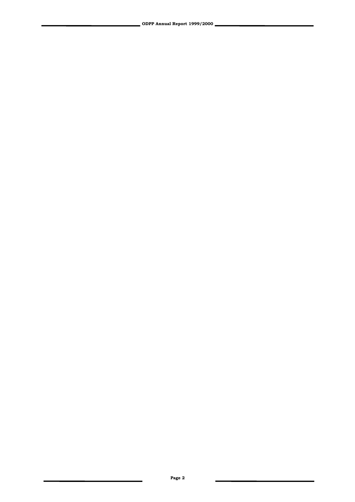**ODPP Annual Report 1999/2000**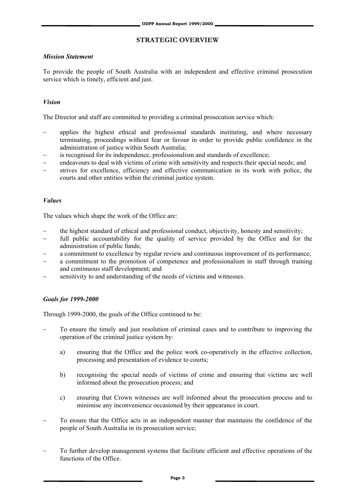# **STRATEGIC OVERVIEW**

### *Mission Statement*

To provide the people of South Australia with an independent and effective criminal prosecution service which is timely, efficient and just.

### *Vision*

The Director and staff are committed to providing a criminal prosecution service which:

- applies the highest ethical and professional standards instituting, and where necessary terminating, proceedings without fear or favour in order to provide public confidence in the administration of justice within South Australia;
- is recognised for its independence, professionalism and standards of excellence;
- $\sim$  endeavours to deal with victims of crime with sensitivity and respects their special needs; and
- strives for excellence, efficiency and effective communication in its work with police, the courts and other entities within the criminal justice system.

### *Values*

The values which shape the work of the Office are:

- the highest standard of ethical and professional conduct, objectivity, honesty and sensitivity;
- $\sim$  full public accountability for the quality of service provided by the Office and for the administration of public funds;
- a commitment to excellence by regular review and continuous improvement of its performance:
- a commitment to the promotion of competence and professionalism in staff through training and continuous staff development; and
- sensitivity to and understanding of the needs of victims and witnesses.

# *Goals for 1999-2000*

Through 1999-2000, the goals of the Office continued to be:

- To ensure the timely and just resolution of criminal cases and to contribute to improving the operation of the criminal justice system by:
	- a) ensuring that the Office and the police work co-operatively in the effective collection, processing and presentation of evidence to courts;
	- b) recognising the special needs of victims of crime and ensuring that victims are well informed about the prosecution process; and
	- c) ensuring that Crown witnesses are well informed about the prosecution process and to minimise any inconvenience occasioned by their appearance in court.
- To ensure that the Office acts in an independent manner that maintains the confidence of the people of South Australia in its prosecution service;
- ~ To further develop management systems that facilitate efficient and effective operations of the functions of the Office.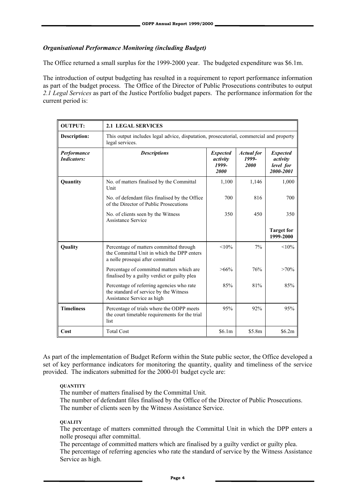# *Organisational Performance Monitoring (including Budget)*

The Office returned a small surplus for the 1999-2000 year. The budgeted expenditure was \$6.1m.

The introduction of output budgeting has resulted in a requirement to report performance information as part of the budget process. The Office of the Director of Public Prosecutions contributes to output *2.1 Legal Services* as part of the Justice Portfolio budget papers. The performance information for the current period is:

| <b>OUTPUT:</b>                    | <b>2.1 LEGAL SERVICES</b>                                                                                                 |                                              |                                    |                                                       |  |
|-----------------------------------|---------------------------------------------------------------------------------------------------------------------------|----------------------------------------------|------------------------------------|-------------------------------------------------------|--|
| <b>Description:</b>               | This output includes legal advice, disputation, prosecutorial, commercial and property<br>legal services.                 |                                              |                                    |                                                       |  |
| Performance<br><b>Indicators:</b> | <b>Descriptions</b>                                                                                                       | <b>Expected</b><br>activity<br>1999-<br>2000 | <b>Actual</b> for<br>1999-<br>2000 | <b>Expected</b><br>activity<br>level for<br>2000-2001 |  |
| Quantity                          | No. of matters finalised by the Committal<br>Unit                                                                         | 1,100                                        | 1,146                              | 1,000                                                 |  |
|                                   | No. of defendant files finalised by the Office<br>of the Director of Public Prosecutions                                  | 700                                          | 816                                | 700                                                   |  |
|                                   | No. of clients seen by the Witness<br><b>Assistance Service</b>                                                           | 350                                          | 450                                | 350                                                   |  |
|                                   |                                                                                                                           |                                              |                                    | <b>Target for</b><br>1999-2000                        |  |
| Quality                           | Percentage of matters committed through<br>the Committal Unit in which the DPP enters<br>a nolle prosequi after committal | $< 10\%$                                     | 7%                                 | $< 10\%$                                              |  |
|                                   | Percentage of committed matters which are<br>finalised by a guilty verdict or guilty plea                                 | $>66\%$                                      | 76%                                | $>70\%$                                               |  |
|                                   | Percentage of referring agencies who rate<br>the standard of service by the Witness<br>Assistance Service as high         | 85%                                          | 81%                                | 85%                                                   |  |
| <b>Timeliness</b>                 | Percentage of trials where the ODPP meets<br>the court timetable requirements for the trial<br>list                       | 95%                                          | 92%                                | 95%                                                   |  |
| Cost                              | <b>Total Cost</b>                                                                                                         | \$6.1m                                       | \$5.8m                             | \$6.2m                                                |  |

As part of the implementation of Budget Reform within the State public sector, the Office developed a set of key performance indicators for monitoring the quantity, quality and timeliness of the service provided. The indicators submitted for the 2000-01 budget cycle are:

### **QUANTITY**

The number of matters finalised by the Committal Unit.

 The number of defendant files finalised by the Office of the Director of Public Prosecutions. The number of clients seen by the Witness Assistance Service.

### **QUALITY**

 The percentage of matters committed through the Committal Unit in which the DPP enters a nolle prosequi after committal.

 The percentage of committed matters which are finalised by a guilty verdict or guilty plea. The percentage of referring agencies who rate the standard of service by the Witness Assistance Service as high.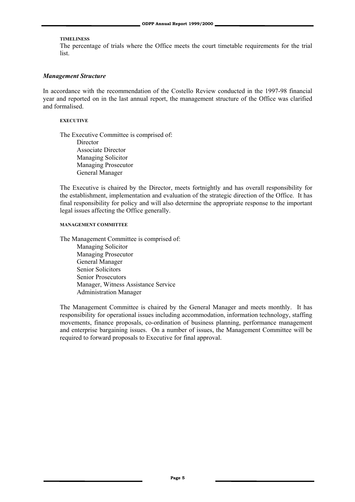### **TIMELINESS**

 The percentage of trials where the Office meets the court timetable requirements for the trial list.

### *Management Structure*

In accordance with the recommendation of the Costello Review conducted in the 1997-98 financial year and reported on in the last annual report, the management structure of the Office was clarified and formalised.

#### **EXECUTIVE**

 The Executive Committee is comprised of: **Director**  Associate Director Managing Solicitor Managing Prosecutor General Manager

 The Executive is chaired by the Director, meets fortnightly and has overall responsibility for the establishment, implementation and evaluation of the strategic direction of the Office. It has final responsibility for policy and will also determine the appropriate response to the important legal issues affecting the Office generally.

### **MANAGEMENT COMMITTEE**

 The Management Committee is comprised of: Managing Solicitor Managing Prosecutor General Manager Senior Solicitors Senior Prosecutors Manager, Witness Assistance Service Administration Manager

 The Management Committee is chaired by the General Manager and meets monthly. It has responsibility for operational issues including accommodation, information technology, staffing movements, finance proposals, co-ordination of business planning, performance management and enterprise bargaining issues. On a number of issues, the Management Committee will be required to forward proposals to Executive for final approval.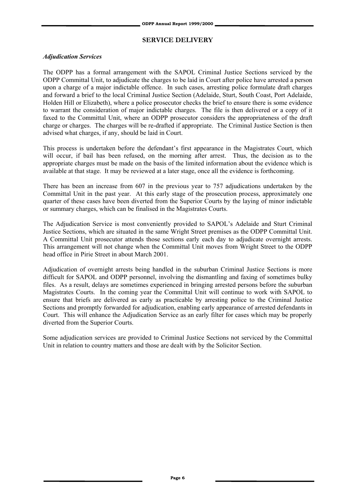### **SERVICE DELIVERY**

### *Adjudication Services*

The ODPP has a formal arrangement with the SAPOL Criminal Justice Sections serviced by the ODPP Committal Unit, to adjudicate the charges to be laid in Court after police have arrested a person upon a charge of a major indictable offence. In such cases, arresting police formulate draft charges and forward a brief to the local Criminal Justice Section (Adelaide, Sturt, South Coast, Port Adelaide, Holden Hill or Elizabeth), where a police prosecutor checks the brief to ensure there is some evidence to warrant the consideration of major indictable charges. The file is then delivered or a copy of it faxed to the Committal Unit, where an ODPP prosecutor considers the appropriateness of the draft charge or charges. The charges will be re-drafted if appropriate. The Criminal Justice Section is then advised what charges, if any, should be laid in Court.

This process is undertaken before the defendant's first appearance in the Magistrates Court, which will occur, if bail has been refused, on the morning after arrest. Thus, the decision as to the appropriate charges must be made on the basis of the limited information about the evidence which is available at that stage. It may be reviewed at a later stage, once all the evidence is forthcoming.

There has been an increase from 607 in the previous year to 757 adjudications undertaken by the Committal Unit in the past year. At this early stage of the prosecution process, approximately one quarter of these cases have been diverted from the Superior Courts by the laying of minor indictable or summary charges, which can be finalised in the Magistrates Courts.

The Adjudication Service is most conveniently provided to SAPOL's Adelaide and Sturt Criminal Justice Sections, which are situated in the same Wright Street premises as the ODPP Committal Unit. A Committal Unit prosecutor attends those sections early each day to adjudicate overnight arrests. This arrangement will not change when the Committal Unit moves from Wright Street to the ODPP head office in Pirie Street in about March 2001.

Adjudication of overnight arrests being handled in the suburban Criminal Justice Sections is more difficult for SAPOL and ODPP personnel, involving the dismantling and faxing of sometimes bulky files. As a result, delays are sometimes experienced in bringing arrested persons before the suburban Magistrates Courts. In the coming year the Committal Unit will continue to work with SAPOL to ensure that briefs are delivered as early as practicable by arresting police to the Criminal Justice Sections and promptly forwarded for adjudication, enabling early appearance of arrested defendants in Court. This will enhance the Adjudication Service as an early filter for cases which may be properly diverted from the Superior Courts.

Some adjudication services are provided to Criminal Justice Sections not serviced by the Committal Unit in relation to country matters and those are dealt with by the Solicitor Section.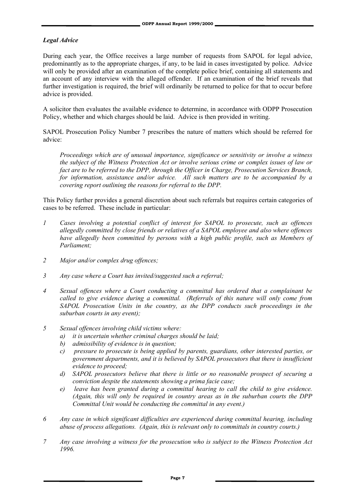# *Legal Advice*

During each year, the Office receives a large number of requests from SAPOL for legal advice, predominantly as to the appropriate charges, if any, to be laid in cases investigated by police. Advice will only be provided after an examination of the complete police brief, containing all statements and an account of any interview with the alleged offender. If an examination of the brief reveals that further investigation is required, the brief will ordinarily be returned to police for that to occur before advice is provided.

A solicitor then evaluates the available evidence to determine, in accordance with ODPP Prosecution Policy, whether and which charges should be laid. Advice is then provided in writing.

SAPOL Prosecution Policy Number 7 prescribes the nature of matters which should be referred for advice:

*Proceedings which are of unusual importance, significance or sensitivity or involve a witness the subject of the Witness Protection Act or involve serious crime or complex issues of law or fact are to be referred to the DPP, through the Officer in Charge, Prosecution Services Branch, for information, assistance and/or advice. All such matters are to be accompanied by a covering report outlining the reasons for referral to the DPP.* 

This Policy further provides a general discretion about such referrals but requires certain categories of cases to be referred. These include in particular:

- *1 Cases involving a potential conflict of interest for SAPOL to prosecute, such as offences allegedly committed by close friends or relatives of a SAPOL employee and also where offences have allegedly been committed by persons with a high public profile, such as Members of Parliament;*
- *2 Major and/or complex drug offences;*
- *3 Any case where a Court has invited/suggested such a referral;*
- *4 Sexual offences where a Court conducting a committal has ordered that a complainant be called to give evidence during a committal. (Referrals of this nature will only come from SAPOL Prosecution Units in the country, as the DPP conducts such proceedings in the suburban courts in any event);*
- *5 Sexual offences involving child victims where:* 
	- *a) it is uncertain whether criminal charges should be laid;*
	- *b) admissibility of evidence is in question;*
	- *c) pressure to prosecute is being applied by parents, guardians, other interested parties, or government departments, and it is believed by SAPOL prosecutors that there is insufficient evidence to proceed;*
	- *d) SAPOL prosecutors believe that there is little or no reasonable prospect of securing a conviction despite the statements showing a prima facie case;*
	- *e) leave has been granted during a committal hearing to call the child to give evidence. (Again, this will only be required in country areas as in the suburban courts the DPP Committal Unit would be conducting the committal in any event.)*
- *6 Any case in which significant difficulties are experienced during committal hearing, including abuse of process allegations. (Again, this is relevant only to committals in country courts.)*
- *7 Any case involving a witness for the prosecution who is subject to the Witness Protection Act 1996.*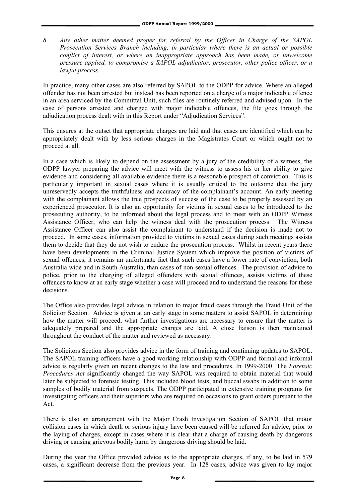*8 Any other matter deemed proper for referral by the Officer in Charge of the SAPOL Prosecution Services Branch including, in particular where there is an actual or possible conflict of interest, or where an inappropriate approach has been made, or unwelcome pressure applied, to compromise a SAPOL adjudicator, prosecutor, other police officer, or a lawful process.* 

In practice, many other cases are also referred by SAPOL to the ODPP for advice. Where an alleged offender has not been arrested but instead has been reported on a charge of a major indictable offence in an area serviced by the Committal Unit, such files are routinely referred and advised upon. In the case of persons arrested and charged with major indictable offences, the file goes through the adjudication process dealt with in this Report under "Adjudication Services".

This ensures at the outset that appropriate charges are laid and that cases are identified which can be appropriately dealt with by less serious charges in the Magistrates Court or which ought not to proceed at all.

In a case which is likely to depend on the assessment by a jury of the credibility of a witness, the ODPP lawyer preparing the advice will meet with the witness to assess his or her ability to give evidence and considering all available evidence there is a reasonable prospect of conviction. This is particularly important in sexual cases where it is usually critical to the outcome that the jury unreservedly accepts the truthfulness and accuracy of the complainant's account. An early meeting with the complainant allows the true prospects of success of the case to be properly assessed by an experienced prosecutor. It is also an opportunity for victims in sexual cases to be introduced to the prosecuting authority, to be informed about the legal process and to meet with an ODPP Witness Assistance Officer, who can help the witness deal with the prosecution process. The Witness Assistance Officer can also assist the complainant to understand if the decision is made not to proceed. In some cases, information provided to victims in sexual cases during such meetings assists them to decide that they do not wish to endure the prosecution process. Whilst in recent years there have been developments in the Criminal Justice System which improve the position of victims of sexual offences, it remains an unfortunate fact that such cases have a lower rate of conviction, both Australia wide and in South Australia, than cases of non-sexual offences. The provision of advice to police, prior to the charging of alleged offenders with sexual offences, assists victims of these offences to know at an early stage whether a case will proceed and to understand the reasons for these decisions.

The Office also provides legal advice in relation to major fraud cases through the Fraud Unit of the Solicitor Section. Advice is given at an early stage in some matters to assist SAPOL in determining how the matter will proceed, what further investigations are necessary to ensure that the matter is adequately prepared and the appropriate charges are laid. A close liaison is then maintained throughout the conduct of the matter and reviewed as necessary.

The Solicitors Section also provides advice in the form of training and continuing updates to SAPOL. The SAPOL training officers have a good working relationship with ODPP and formal and informal advice is regularly given on recent changes to the law and procedures. In 1999-2000 The *Forensic Procedures Act* significantly changed the way SAPOL was required to obtain material that would later be subjected to forensic testing. This included blood tests, and buccal swabs in addition to some samples of bodily material from suspects. The ODPP participated in extensive training programs for investigating officers and their superiors who are required on occasions to grant orders pursuant to the Act.

There is also an arrangement with the Major Crash Investigation Section of SAPOL that motor collision cases in which death or serious injury have been caused will be referred for advice, prior to the laying of charges, except in cases where it is clear that a charge of causing death by dangerous driving or causing grievous bodily harm by dangerous driving should be laid.

During the year the Office provided advice as to the appropriate charges, if any, to be laid in 579 cases, a significant decrease from the previous year. In 128 cases, advice was given to lay major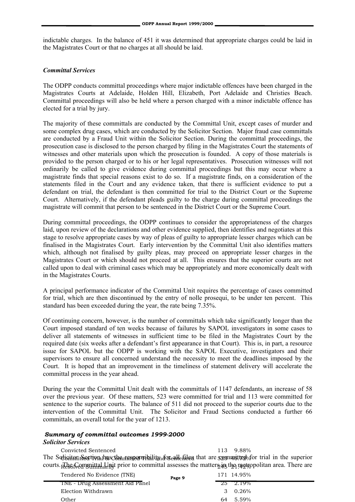indictable charges. In the balance of 451 it was determined that appropriate charges could be laid in the Magistrates Court or that no charges at all should be laid.

### *Committal Services*

The ODPP conducts committal proceedings where major indictable offences have been charged in the Magistrates Courts at Adelaide, Holden Hill, Elizabeth, Port Adelaide and Christies Beach. Committal proceedings will also be held where a person charged with a minor indictable offence has elected for a trial by jury.

The majority of these committals are conducted by the Committal Unit, except cases of murder and some complex drug cases, which are conducted by the Solicitor Section. Major fraud case committals are conducted by a Fraud Unit within the Solicitor Section. During the committal proceedings, the prosecution case is disclosed to the person charged by filing in the Magistrates Court the statements of witnesses and other materials upon which the prosecution is founded. A copy of those materials is provided to the person charged or to his or her legal representatives. Prosecution witnesses will not ordinarily be called to give evidence during committal proceedings but this may occur where a magistrate finds that special reasons exist to do so. If a magistrate finds, on a consideration of the statements filed in the Court and any evidence taken, that there is sufficient evidence to put a defendant on trial, the defendant is then committed for trial to the District Court or the Supreme Court. Alternatively, if the defendant pleads guilty to the charge during committal proceedings the magistrate will commit that person to be sentenced in the District Court or the Supreme Court.

During committal proceedings, the ODPP continues to consider the appropriateness of the charges laid, upon review of the declarations and other evidence supplied, then identifies and negotiates at this stage to resolve appropriate cases by way of pleas of guilty to appropriate lesser charges which can be finalised in the Magistrates Court. Early intervention by the Committal Unit also identifies matters which, although not finalised by guilty pleas, may proceed on appropriate lesser charges in the Magistrates Court or which should not proceed at all. This ensures that the superior courts are not called upon to deal with criminal cases which may be appropriately and more economically dealt with in the Magistrates Courts.

A principal performance indicator of the Committal Unit requires the percentage of cases committed for trial, which are then discontinued by the entry of nolle prosequi, to be under ten percent. This standard has been exceeded during the year, the rate being 7.35%.

Of continuing concern, however, is the number of committals which take significantly longer than the Court imposed standard of ten weeks because of failures by SAPOL investigators in some cases to deliver all statements of witnesses in sufficient time to be filed in the Magistrates Court by the required date (six weeks after a defendant's first appearance in that Court). This is, in part, a resource issue for SAPOL but the ODPP is working with the SAPOL Executive, investigators and their supervisors to ensure all concerned understand the necessity to meet the deadlines imposed by the Court. It is hoped that an improvement in the timeliness of statement delivery will accelerate the committal process in the year ahead.

During the year the Committal Unit dealt with the committals of 1147 defendants, an increase of 58 over the previous year. Of these matters, 523 were committed for trial and 113 were committed for sentence to the superior courts. The balance of 511 did not proceed to the superior courts due to the intervention of the Committal Unit. The Solicitor and Fraud Sections conducted a further 66 committals, an overall total for the year of 1213.

### *Summary of committal outcomes 1999-2000*

### *Solicitor Services*

### Convicted Sentenced 113 9.88%

The Solicitor intertion has the responsibility dos call files that are sommitted for trial in the superior courts. Resolved Summittal Unit prior to committal assesses the matters in the maging opolitan area. There are

|       | Tendered No Evidence (TNE)      | Page 9 |    | 171 14.95%       |
|-------|---------------------------------|--------|----|------------------|
|       | TNE - Drug Assessment Aid Panel |        |    | $-25$ 2.19%      |
|       | Election Withdrawn              |        |    | $3 \quad 0.26\%$ |
| )ther |                                 |        | 64 | 5.59%            |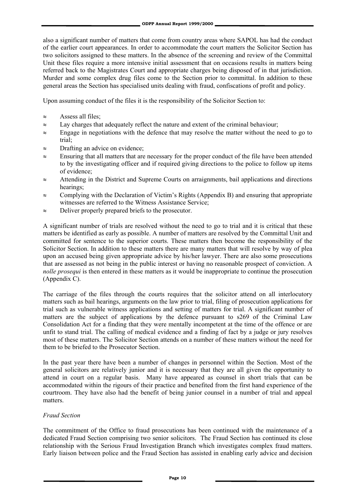also a significant number of matters that come from country areas where SAPOL has had the conduct of the earlier court appearances. In order to accommodate the court matters the Solicitor Section has two solicitors assigned to these matters. In the absence of the screening and review of the Committal Unit these files require a more intensive initial assessment that on occasions results in matters being referred back to the Magistrates Court and appropriate charges being disposed of in that jurisdiction. Murder and some complex drug files come to the Section prior to committal. In addition to these general areas the Section has specialised units dealing with fraud, confiscations of profit and policy.

Upon assuming conduct of the files it is the responsibility of the Solicitor Section to:

- ≈ Assess all files;
- ≈ Lay charges that adequately reflect the nature and extent of the criminal behaviour;
- ≈ Engage in negotiations with the defence that may resolve the matter without the need to go to trial;
- ≈ Drafting an advice on evidence;
- ≈ Ensuring that all matters that are necessary for the proper conduct of the file have been attended to by the investigating officer and if required giving directions to the police to follow up items of evidence;
- ≈ Attending in the District and Supreme Courts on arraignments, bail applications and directions hearings;
- ≈ Complying with the Declaration of Victim's Rights (Appendix B) and ensuring that appropriate witnesses are referred to the Witness Assistance Service;
- ≈ Deliver properly prepared briefs to the prosecutor.

A significant number of trials are resolved without the need to go to trial and it is critical that these matters be identified as early as possible. A number of matters are resolved by the Committal Unit and committed for sentence to the superior courts. These matters then become the responsibility of the Solicitor Section. In addition to these matters there are many matters that will resolve by way of plea upon an accused being given appropriate advice by his/her lawyer. There are also some prosecutions that are assessed as not being in the public interest or having no reasonable prospect of conviction. A *nolle prosequi* is then entered in these matters as it would be inappropriate to continue the prosecution (Appendix C).

The carriage of the files through the courts requires that the solicitor attend on all interlocutory matters such as bail hearings, arguments on the law prior to trial, filing of prosecution applications for trial such as vulnerable witness applications and setting of matters for trial. A significant number of matters are the subject of applications by the defence pursuant to s269 of the Criminal Law Consolidation Act for a finding that they were mentally incompetent at the time of the offence or are unfit to stand trial. The calling of medical evidence and a finding of fact by a judge or jury resolves most of these matters. The Solicitor Section attends on a number of these matters without the need for them to be briefed to the Prosecutor Section.

In the past year there have been a number of changes in personnel within the Section. Most of the general solicitors are relatively junior and it is necessary that they are all given the opportunity to attend in court on a regular basis. Many have appeared as counsel in short trials that can be accommodated within the rigours of their practice and benefited from the first hand experience of the courtroom. They have also had the benefit of being junior counsel in a number of trial and appeal matters.

### *Fraud Section*

The commitment of the Office to fraud prosecutions has been continued with the maintenance of a dedicated Fraud Section comprising two senior solicitors. The Fraud Section has continued its close relationship with the Serious Fraud Investigation Branch which investigates complex fraud matters. Early liaison between police and the Fraud Section has assisted in enabling early advice and decision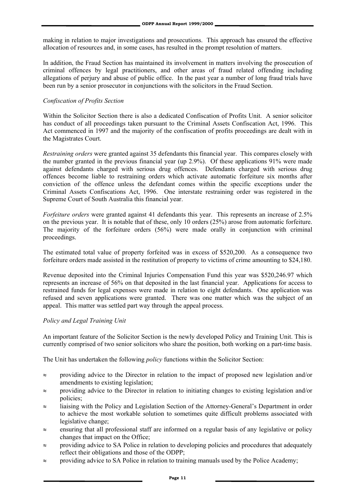making in relation to major investigations and prosecutions. This approach has ensured the effective allocation of resources and, in some cases, has resulted in the prompt resolution of matters.

In addition, the Fraud Section has maintained its involvement in matters involving the prosecution of criminal offences by legal practitioners, and other areas of fraud related offending including allegations of perjury and abuse of public office. In the past year a number of long fraud trials have been run by a senior prosecutor in conjunctions with the solicitors in the Fraud Section.

# *Confiscation of Profits Section*

Within the Solicitor Section there is also a dedicated Confiscation of Profits Unit. A senior solicitor has conduct of all proceedings taken pursuant to the Criminal Assets Confiscation Act, 1996. This Act commenced in 1997 and the majority of the confiscation of profits proceedings are dealt with in the Magistrates Court.

*Restraining orders* were granted against 35 defendants this financial year. This compares closely with the number granted in the previous financial year (up 2.9%). Of these applications 91% were made against defendants charged with serious drug offences. Defendants charged with serious drug offences become liable to restraining orders which activate automatic forfeiture six months after conviction of the offence unless the defendant comes within the specific exceptions under the Criminal Assets Confiscations Act, 1996. One interstate restraining order was registered in the Supreme Court of South Australia this financial year.

*Forfeiture orders* were granted against 41 defendants this year. This represents an increase of 2.5% on the previous year. It is notable that of these, only 10 orders (25%) arose from automatic forfeiture. The majority of the forfeiture orders (56%) were made orally in conjunction with criminal proceedings.

The estimated total value of property forfeited was in excess of \$520,200. As a consequence two forfeiture orders made assisted in the restitution of property to victims of crime amounting to \$24,180.

Revenue deposited into the Criminal Injuries Compensation Fund this year was \$520,246.97 which represents an increase of 56% on that deposited in the last financial year. Applications for access to restrained funds for legal expenses were made in relation to eight defendants. One application was refused and seven applications were granted. There was one matter which was the subject of an appeal. This matter was settled part way through the appeal process.

# *Policy and Legal Training Unit*

An important feature of the Solicitor Section is the newly developed Policy and Training Unit. This is currently comprised of two senior solicitors who share the position, both working on a part-time basis.

The Unit has undertaken the following *policy* functions within the Solicitor Section:

- ≈ providing advice to the Director in relation to the impact of proposed new legislation and/or amendments to existing legislation;
- ≈ providing advice to the Director in relation to initiating changes to existing legislation and/or policies;
- ≈ liaising with the Policy and Legislation Section of the Attorney-General's Department in order to achieve the most workable solution to sometimes quite difficult problems associated with legislative change;
- ≈ ensuring that all professional staff are informed on a regular basis of any legislative or policy changes that impact on the Office;
- ≈ providing advice to SA Police in relation to developing policies and procedures that adequately reflect their obligations and those of the ODPP;
- ≈ providing advice to SA Police in relation to training manuals used by the Police Academy;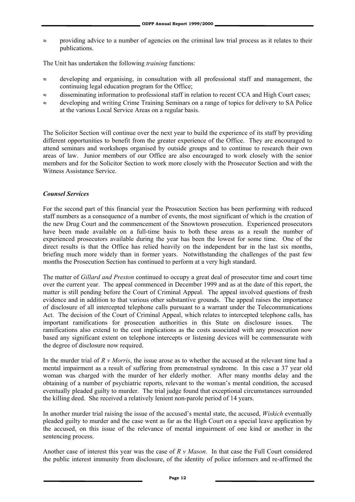≈ providing advice to a number of agencies on the criminal law trial process as it relates to their publications.

The Unit has undertaken the following *training* functions:

- ≈ developing and organising, in consultation with all professional staff and management, the continuing legal education program for the Office;
- ≈ disseminating information to professional staff in relation to recent CCA and High Court cases;
- ≈ developing and writing Crime Training Seminars on a range of topics for delivery to SA Police at the various Local Service Areas on a regular basis.

The Solicitor Section will continue over the next year to build the experience of its staff by providing different opportunities to benefit from the greater experience of the Office. They are encouraged to attend seminars and workshops organised by outside groups and to continue to research their own areas of law. Junior members of our Office are also encouraged to work closely with the senior members and for the Solicitor Section to work more closely with the Prosecutor Section and with the Witness Assistance Service.

# *Counsel Services*

For the second part of this financial year the Prosecution Section has been performing with reduced staff numbers as a consequence of a number of events, the most significant of which is the creation of the new Drug Court and the commencement of the Snowtown prosecution. Experienced prosecutors have been made available on a full-time basis to both these areas as a result the number of experienced prosecutors available during the year has been the lowest for some time. One of the direct results is that the Office has relied heavily on the independent bar in the last six months, briefing much more widely than in former years. Notwithstanding the challenges of the past few months the Prosecution Section has continued to perform at a very high standard.

The matter of *Gillard and Preston* continued to occupy a great deal of prosecutor time and court time over the current year. The appeal commenced in December 1999 and as at the date of this report, the matter is still pending before the Court of Criminal Appeal. The appeal involved questions of fresh evidence and in addition to that various other substantive grounds. The appeal raises the importance of disclosure of all intercepted telephone calls pursuant to a warrant under the Telecommunications Act. The decision of the Court of Criminal Appeal, which relates to intercepted telephone calls, has important ramifications for prosecution authorities in this State on disclosure issues. The ramifications also extend to the cost implications as the costs associated with any prosecution now based any significant extent on telephone intercepts or listening devices will be commensurate with the degree of disclosure now required.

In the murder trial of *R v Morris*, the issue arose as to whether the accused at the relevant time had a mental impairment as a result of suffering from premenstrual syndrome. In this case a 37 year old woman was charged with the murder of her elderly mother. After many months delay and the obtaining of a number of psychiatric reports, relevant to the woman's mental condition, the accused eventually pleaded guilty to murder. The trial judge found that exceptional circumstances surrounded the killing deed. She received a relatively lenient non-parole period of 14 years.

In another murder trial raising the issue of the accused's mental state, the accused, *Wiskich* eventually pleaded guilty to murder and the case went as far as the High Court on a special leave application by the accused, on this issue of the relevance of mental impairment of one kind or another in the sentencing process.

Another case of interest this year was the case of *R v Mason*. In that case the Full Court considered the public interest immunity from disclosure, of the identity of police informers and re-affirmed the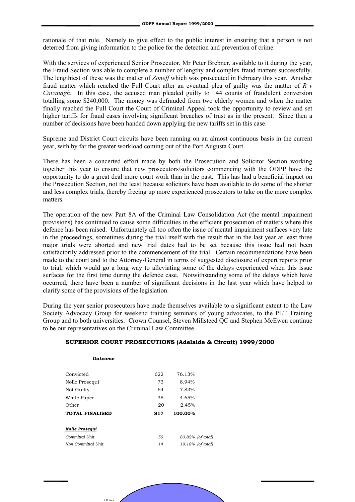rationale of that rule. Namely to give effect to the public interest in ensuring that a person is not deterred from giving information to the police for the detection and prevention of crime.

With the services of experienced Senior Prosecutor, Mr Peter Brebner, available to it during the year, the Fraud Section was able to complete a number of lengthy and complex fraud matters successfully. The lengthiest of these was the matter of *Zoneff* which was prosecuted in February this year. Another fraud matter which reached the Full Court after an eventual plea of guilty was the matter of *R v Cavanagh*. In this case, the accused man pleaded guilty to 144 counts of fraudulent conversion totalling some \$240,000. The money was defrauded from two elderly women and when the matter finally reached the Full Court the Court of Criminal Appeal took the opportunity to review and set higher tariffs for fraud cases involving significant breaches of trust as in the present. Since then a number of decisions have been handed down applying the new tariffs set in this case.

Supreme and District Court circuits have been running on an almost continuous basis in the current year, with by far the greater workload coming out of the Port Augusta Court.

There has been a concerted effort made by both the Prosecution and Solicitor Section working together this year to ensure that new prosecutors/solicitors commencing with the ODPP have the opportunity to do a great deal more court work than in the past. This has had a beneficial impact on the Prosecution Section, not the least because solicitors have been available to do some of the shorter and less complex trials, thereby freeing up more experienced prosecutors to take on the more complex matters.

The operation of the new Part 8A of the Criminal Law Consolidation Act (the mental impairment provisions) has continued to cause some difficulties in the efficient prosecution of matters where this defence has been raised. Unfortunately all too often the issue of mental impairment surfaces very late in the proceedings, sometimes during the trial itself with the result that in the last year at least three major trials were aborted and new trial dates had to be set because this issue had not been satisfactorily addressed prior to the commencement of the trial. Certain recommendations have been made to the court and to the Attorney-General in terms of suggested disclosure of expert reports prior to trial, which would go a long way to alleviating some of the delays experienced when this issue surfaces for the first time during the defence case. Notwithstanding some of the delays which have occurred, there have been a number of significant decisions in the last year which have helped to clarify some of the provisions of the legislation.

During the year senior prosecutors have made themselves available to a significant extent to the Law Society Advocacy Group for weekend training seminars of young advocates, to the PLT Training Group and to both universities. Crown Counsel, Steven Millsteed QC and Stephen McEwen continue to be our representatives on the Criminal Law Committee.

### **SUPERIOR COURT PROSECUTIONS (Adelaide & Circuit) 1999/2000**

| Convicted              | 622 | 76.13%            |                   |
|------------------------|-----|-------------------|-------------------|
| Nolle Prosequi         | 73  | 8.94%             |                   |
| Not Guilty             | 64  | 7.83%             |                   |
| White Paper            | 38  | 4.65%             |                   |
| Other                  | 20  | 2.45%             |                   |
| <b>TOTAL FINALISED</b> | 817 | 100.00%           |                   |
| <b>Nolle Prosequi</b>  |     |                   |                   |
| Committal Unit         | 59  | 80.82% (of total) |                   |
| Non Committal Unit     | 14  |                   | 19.18% (of total) |

*Outcome*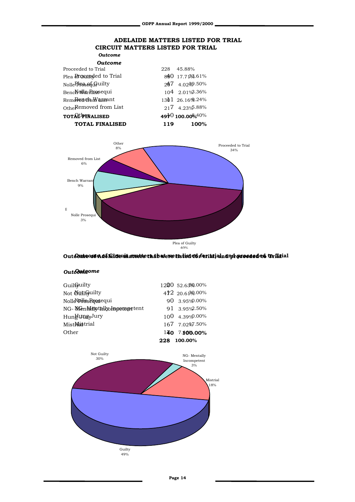### **ADELAIDE MATTERS LISTED FOR TRIAL CIRCUIT MATTERS LISTED FOR TRIAL**

| Outcome                  |                             |
|--------------------------|-----------------------------|
| Outcome                  |                             |
| Proceeded to Trial       | 45.88%<br>228               |
| Plea Brongneded to Trial | 8480 17.7828.61%            |
| NollePlessetGuilty       | 2467 4.0289.50%             |
| BencNowlerParosequi      | $104$ 2.01% 3.36%           |
| Rem <b>BenghMargant</b>  | 1301 26.16%, 24%            |
| OtheRemoved from List    | $217$ 4.23% 5.88%           |
| <b>TOTAL RENALISED</b>   | 4970 100.00% <sup>40%</sup> |
| TOTAL FINALISED          | 100%<br>119                 |



#### **Outcome of Adelaide matters that were listed for trial, and proceeded to Trial Outcome of Circuit matters that were listed for trial, and proceeded to Trial**



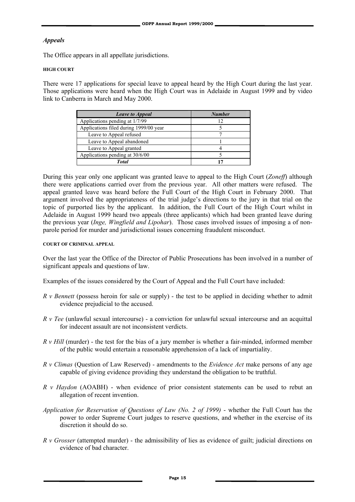### *Appeals*

The Office appears in all appellate jurisdictions.

### **HIGH COURT**

There were 17 applications for special leave to appeal heard by the High Court during the last year. Those applications were heard when the High Court was in Adelaide in August 1999 and by video link to Canberra in March and May 2000.

| Leave to Appeal                        | <b>Number</b> |
|----------------------------------------|---------------|
| Applications pending at 1/7/99         | 12            |
| Applications filed during 1999/00 year |               |
| Leave to Appeal refused                |               |
| Leave to Appeal abandoned              |               |
| Leave to Appeal granted                |               |
| Applications pending at 30/6/00        |               |
| <b>Total</b>                           |               |

During this year only one applicant was granted leave to appeal to the High Court (*Zoneff*) although there were applications carried over from the previous year. All other matters were refused. The appeal granted leave was heard before the Full Court of the High Court in February 2000. That argument involved the appropriateness of the trial judge's directions to the jury in that trial on the topic of purported lies by the applicant. In addition, the Full Court of the High Court whilst in Adelaide in August 1999 heard two appeals (three applicants) which had been granted leave during the previous year (*Inge, Wingfield and Lipohar*). Those cases involved issues of imposing a of nonparole period for murder and jurisdictional issues concerning fraudulent misconduct.

### **COURT OF CRIMINAL APPEAL**

Over the last year the Office of the Director of Public Prosecutions has been involved in a number of significant appeals and questions of law.

Examples of the issues considered by the Court of Appeal and the Full Court have included:

- *R v Bennett* (possess heroin for sale or supply) the test to be applied in deciding whether to admit evidence prejudicial to the accused.
- *R v Tee* (unlawful sexual intercourse) a conviction for unlawful sexual intercourse and an acquittal for indecent assault are not inconsistent verdicts.
- *R v Hill* (murder) the test for the bias of a jury member is whether a fair-minded, informed member of the public would entertain a reasonable apprehension of a lack of impartiality.
- *R v Climas* (Question of Law Reserved) amendments to the *Evidence Act* make persons of any age capable of giving evidence providing they understand the obligation to be truthful.
- *R v Haydon* (AOABH) when evidence of prior consistent statements can be used to rebut an allegation of recent invention.
- *Application for Reservation of Questions of Law (No. 2 of 1999)* whether the Full Court has the power to order Supreme Court judges to reserve questions, and whether in the exercise of its discretion it should do so.
- *R v Grosser* (attempted murder) the admissibility of lies as evidence of guilt; judicial directions on evidence of bad character.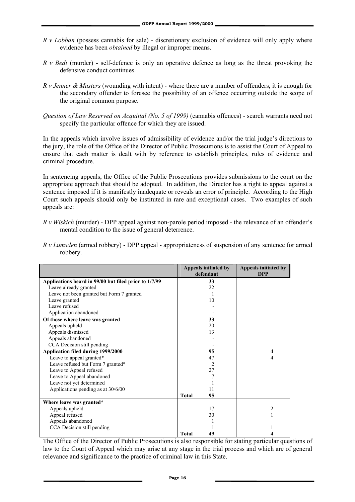- *R v Lobban* (possess cannabis for sale) discretionary exclusion of evidence will only apply where evidence has been *obtained* by illegal or improper means.
- *R v Bedi* (murder) self-defence is only an operative defence as long as the threat provoking the defensive conduct continues.
- *R v Jenner & Masters* (wounding with intent) where there are a number of offenders, it is enough for the secondary offender to foresee the possibility of an offence occurring outside the scope of the original common purpose.
- *Question of Law Reserved on Acquittal (No. 5 of 1999)* (cannabis offences) search warrants need not specify the particular offence for which they are issued.

In the appeals which involve issues of admissibility of evidence and/or the trial judge's directions to the jury, the role of the Office of the Director of Public Prosecutions is to assist the Court of Appeal to ensure that each matter is dealt with by reference to establish principles, rules of evidence and criminal procedure.

In sentencing appeals, the Office of the Public Prosecutions provides submissions to the court on the appropriate approach that should be adopted. In addition, the Director has a right to appeal against a sentence imposed if it is manifestly inadequate or reveals an error of principle. According to the High Court such appeals should only be instituted in rare and exceptional cases. Two examples of such appeals are:

*R v Wiskich* (murder) - DPP appeal against non-parole period imposed - the relevance of an offender's mental condition to the issue of general deterrence.

|                                                       | Appeals initiated by<br>defendant | Appeals initiated by<br><b>DPP</b> |
|-------------------------------------------------------|-----------------------------------|------------------------------------|
| Applications heard in 99/00 but filed prior to 1/7/99 | 33                                |                                    |
| Leave already granted                                 | 22                                |                                    |
| Leave not been granted but Form 7 granted             |                                   |                                    |
| Leave granted                                         | 10                                |                                    |
| Leave refused                                         |                                   |                                    |
| Application abandoned                                 |                                   |                                    |
| Of those where leave was granted                      | 33                                |                                    |
| Appeals upheld                                        | 20                                |                                    |
| Appeals dismissed                                     | 13                                |                                    |
| Appeals abandoned                                     |                                   |                                    |
| CCA Decision still pending                            |                                   |                                    |
| Application filed during 1999/2000                    | 95                                | 4                                  |
| Leave to appeal granted*                              | 47                                | 4                                  |
| Leave refused but Form 7 granted*                     | $\overline{2}$                    |                                    |
| Leave to Appeal refused                               | 27                                |                                    |
| Leave to Appeal abandoned                             |                                   |                                    |
| Leave not yet determined                              |                                   |                                    |
| Applications pending as at 30/6/00                    | 11                                |                                    |
|                                                       | <b>Total</b><br>95                |                                    |
| Where leave was granted*                              |                                   |                                    |
| Appeals upheld                                        | 17                                | 2                                  |
| Appeal refused                                        | 30                                |                                    |
| Appeals abandoned                                     |                                   |                                    |
| CCA Decision still pending                            |                                   |                                    |
|                                                       | <b>Total</b><br>49                |                                    |

*R v Lumsden* (armed robbery) - DPP appeal - appropriateness of suspension of any sentence for armed robbery.

The Office of the Director of Public Prosecutions is also responsible for stating particular questions of law to the Court of Appeal which may arise at any stage in the trial process and which are of general relevance and significance to the practice of criminal law in this State.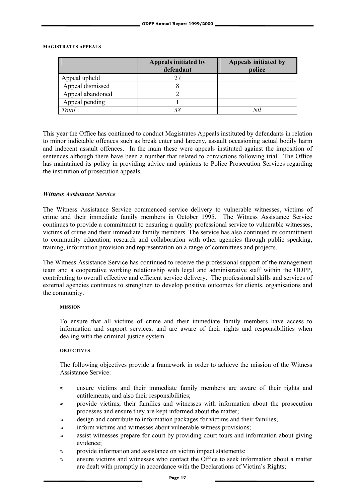#### **MAGISTRATES APPEALS**

|                  | Appeals initiated by<br>defendant | Appeals initiated by<br>police |
|------------------|-----------------------------------|--------------------------------|
| Appeal upheld    |                                   |                                |
| Appeal dismissed |                                   |                                |
| Appeal abandoned |                                   |                                |
| Appeal pending   |                                   |                                |
| Total            |                                   | Nil                            |

 This year the Office has continued to conduct Magistrates Appeals instituted by defendants in relation to minor indictable offences such as break enter and larceny, assault occasioning actual bodily harm and indecent assault offences. In the main these were appeals instituted against the imposition of sentences although there have been a number that related to convictions following trial. The Office has maintained its policy in providing advice and opinions to Police Prosecution Services regarding the institution of prosecution appeals.

### *Witness Assistance Service*

The Witness Assistance Service commenced service delivery to vulnerable witnesses, victims of crime and their immediate family members in October 1995. The Witness Assistance Service continues to provide a commitment to ensuring a quality professional service to vulnerable witnesses, victims of crime and their immediate family members. The service has also continued its commitment to community education, research and collaboration with other agencies through public speaking, training, information provision and representation on a range of committees and projects.

The Witness Assistance Service has continued to receive the professional support of the management team and a cooperative working relationship with legal and administrative staff within the ODPP, contributing to overall effective and efficient service delivery. The professional skills and services of external agencies continues to strengthen to develop positive outcomes for clients, organisations and the community.

### **MISSION**

 To ensure that all victims of crime and their immediate family members have access to information and support services, and are aware of their rights and responsibilities when dealing with the criminal justice system.

### **OBJECTIVES**

 The following objectives provide a framework in order to achieve the mission of the Witness Assistance Service:

- ≈ ensure victims and their immediate family members are aware of their rights and entitlements, and also their responsibilities;
- ≈ provide victims, their families and witnesses with information about the prosecution processes and ensure they are kept informed about the matter;
- ≈ design and contribute to information packages for victims and their families;
- ≈ inform victims and witnesses about vulnerable witness provisions;
- ≈ assist witnesses prepare for court by providing court tours and information about giving evidence;
- ≈ provide information and assistance on victim impact statements;
- ≈ ensure victims and witnesses who contact the Office to seek information about a matter are dealt with promptly in accordance with the Declarations of Victim's Rights;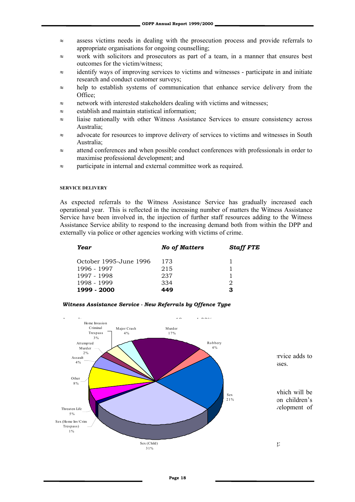- ≈ assess victims needs in dealing with the prosecution process and provide referrals to appropriate organisations for ongoing counselling;
- ≈ work with solicitors and prosecutors as part of a team, in a manner that ensures best outcomes for the victim/witness;
- ≈ identify ways of improving services to victims and witnesses participate in and initiate research and conduct customer surveys;
- ≈ help to establish systems of communication that enhance service delivery from the Office;
- ≈ network with interested stakeholders dealing with victims and witnesses;
- ≈ establish and maintain statistical information;
- ≈ liaise nationally with other Witness Assistance Services to ensure consistency across Australia;
- ≈ advocate for resources to improve delivery of services to victims and witnesses in South Australia;
- ≈ attend conferences and when possible conduct conferences with professionals in order to maximise professional development; and
- ≈ participate in internal and external committee work as required.

#### **SERVICE DELIVERY**

 As expected referrals to the Witness Assistance Service has gradually increased each operational year. This is reflected in the increasing number of matters the Witness Assistance Service have been involved in, the injection of further staff resources adding to the Witness Assistance Service ability to respond to the increasing demand both from within the DPP and externally via police or other agencies working with victims of crime.

| Year                   | <b>No of Matters</b> | <b>Staff FTE</b> |
|------------------------|----------------------|------------------|
| October 1995-June 1996 | 173                  |                  |
| 1996 - 1997            | 215                  |                  |
| 1997 - 1998            | 237                  |                  |
| 1998 - 1999            | 334                  | $\overline{2}$   |
| 1999 - 2000            | 449                  | з                |



#### *Witness Assistance Service - New Referrals by Offence Type*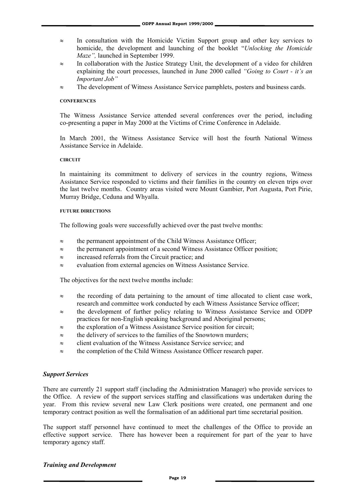- ≈ In consultation with the Homicide Victim Support group and other key services to homicide, the development and launching of the booklet "*Unlocking the Homicide Maze",* launched in September 1999.
- ≈ In collaboration with the Justice Strategy Unit, the development of a video for children explaining the court processes, launched in June 2000 called *"Going to Court - it's an Important Job"*
- ≈ The development of Witness Assistance Service pamphlets, posters and business cards.

### **CONFERENCES**

 The Witness Assistance Service attended several conferences over the period, including co-presenting a paper in May 2000 at the Victims of Crime Conference in Adelaide.

 In March 2001, the Witness Assistance Service will host the fourth National Witness Assistance Service in Adelaide.

### **CIRCUIT**

 In maintaining its commitment to delivery of services in the country regions, Witness Assistance Service responded to victims and their families in the country on eleven trips over the last twelve months. Country areas visited were Mount Gambier, Port Augusta, Port Pirie, Murray Bridge, Ceduna and Whyalla.

### **FUTURE DIRECTIONS**

The following goals were successfully achieved over the past twelve months:

- ≈ the permanent appointment of the Child Witness Assistance Officer;
- $\approx$  the permanent appointment of a second Witness Assistance Officer position;
- ≈ increased referrals from the Circuit practice; and
- ≈ evaluation from external agencies on Witness Assistance Service.

The objectives for the next twelve months include:

- ≈ the recording of data pertaining to the amount of time allocated to client case work, research and committee work conducted by each Witness Assistance Service officer;
- ≈ the development of further policy relating to Witness Assistance Service and ODPP practices for non-English speaking background and Aboriginal persons;
- ≈ the exploration of a Witness Assistance Service position for circuit;
- ≈ the delivery of services to the families of the Snowtown murders;
- ≈ client evaluation of the Witness Assistance Service service; and
- ≈ the completion of the Child Witness Assistance Officer research paper.

### *Support Services*

There are currently 21 support staff (including the Administration Manager) who provide services to the Office. A review of the support services staffing and classifications was undertaken during the year. From this review several new Law Clerk positions were created, one permanent and one temporary contract position as well the formalisation of an additional part time secretarial position.

The support staff personnel have continued to meet the challenges of the Office to provide an effective support service. There has however been a requirement for part of the year to have temporary agency staff.

### *Training and Development*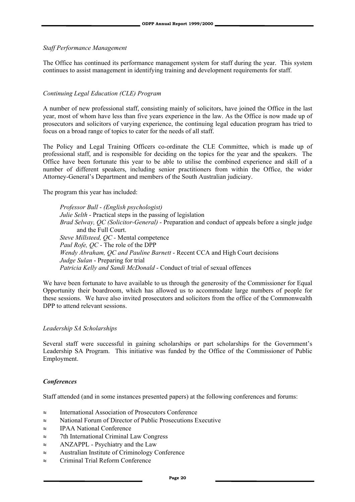### *Staff Performance Management*

The Office has continued its performance management system for staff during the year. This system continues to assist management in identifying training and development requirements for staff.

# *Continuing Legal Education (CLE) Program*

A number of new professional staff, consisting mainly of solicitors, have joined the Office in the last year, most of whom have less than five years experience in the law. As the Office is now made up of prosecutors and solicitors of varying experience, the continuing legal education program has tried to focus on a broad range of topics to cater for the needs of all staff.

The Policy and Legal Training Officers co-ordinate the CLE Committee, which is made up of professional staff, and is responsible for deciding on the topics for the year and the speakers. The Office have been fortunate this year to be able to utilise the combined experience and skill of a number of different speakers, including senior practitioners from within the Office, the wider Attorney-General's Department and members of the South Australian judiciary.

The program this year has included:

 *Professor Bull* - *(English psychologist) Julie Selth* - Practical steps in the passing of legislation  *Brad Selway, QC (Solicitor-General)* - Preparation and conduct of appeals before a single judge and the Full Court.  *Steve Millsteed, QC -* Mental competence  *Paul Rofe, QC* - The role of the DPP  *Wendy Abraham, QC and Pauline Barnett* - Recent CCA and High Court decisions  *Judge Sulan* - Preparing for trial  *Patricia Kelly and Sandi McDonald* - Conduct of trial of sexual offences

We have been fortunate to have available to us through the generosity of the Commissioner for Equal Opportunity their boardroom, which has allowed us to accommodate large numbers of people for these sessions. We have also invited prosecutors and solicitors from the office of the Commonwealth DPP to attend relevant sessions.

### *Leadership SA Scholarships*

Several staff were successful in gaining scholarships or part scholarships for the Government's Leadership SA Program. This initiative was funded by the Office of the Commissioner of Public Employment.

# *Conferences*

Staff attended (and in some instances presented papers) at the following conferences and forums:

- ≈ International Association of Prosecutors Conference
- ≈ National Forum of Director of Public Prosecutions Executive
- ≈ IPAA National Conference
- ≈ 7th International Criminal Law Congress
- ≈ ANZAPPL Psychiatry and the Law
- ≈ Australian Institute of Criminology Conference
- ≈ Criminal Trial Reform Conference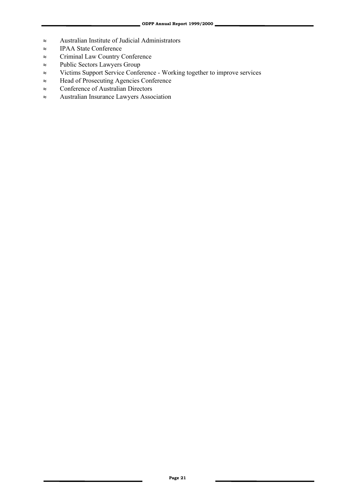- ≈ Australian Institute of Judicial Administrators
- ≈ IPAA State Conference
- ≈ Criminal Law Country Conference
- ≈ Public Sectors Lawyers Group
- ≈ Victims Support Service Conference Working together to improve services
- ≈ Head of Prosecuting Agencies Conference
- ≈ Conference of Australian Directors
- ≈ Australian Insurance Lawyers Association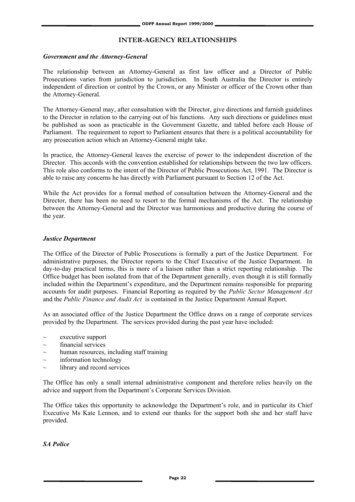# **INTER-AGENCY RELATIONSHIPS**

### *Government and the Attorney-General*

The relationship between an Attorney-General as first law officer and a Director of Public Prosecutions varies from jurisdiction to jurisdiction. In South Australia the Director is entirely independent of direction or control by the Crown, or any Minister or officer of the Crown other than the Attorney-General.

The Attorney-General may, after consultation with the Director, give directions and furnish guidelines to the Director in relation to the carrying out of his functions. Any such directions or guidelines must be published as soon as practicable in the Government Gazette, and tabled before each House of Parliament. The requirement to report to Parliament ensures that there is a political accountability for any prosecution action which an Attorney-General might take.

In practice, the Attorney-General leaves the exercise of power to the independent discretion of the Director. This accords with the convention established for relationships between the two law officers. This role also conforms to the intent of the Director of Public Prosecutions Act, 1991. The Director is able to raise any concerns he has directly with Parliament pursuant to Section 12 of the Act.

While the Act provides for a formal method of consultation between the Attorney-General and the Director, there has been no need to resort to the formal mechanisms of the Act. The relationship between the Attorney-General and the Director was harmonious and productive during the course of the year.

### *Justice Department*

The Office of the Director of Public Prosecutions is formally a part of the Justice Department. For administrative purposes, the Director reports to the Chief Executive of the Justice Department. In day-to-day practical terms, this is more of a liaison rather than a strict reporting relationship. The Office budget has been isolated from that of the Department generally, even though it is still formally included within the Department's expenditure, and the Department remains responsible for preparing accounts for audit purposes. Financial Reporting as required by the *Public Sector Management Act*  and the *Public Finance and Audit Act* is contained in the Justice Department Annual Report.

As an associated office of the Justice Department the Office draws on a range of corporate services provided by the Department. The services provided during the past year have included:

- executive support
- $\sim$  financial services
- $\sim$  human resources, including staff training
- information technology
- library and record services

The Office has only a small internal administrative component and therefore relies heavily on the advice and support from the Department's Corporate Services Division.

The Office takes this opportunity to acknowledge the Department's role, and in particular its Chief Executive Ms Kate Lennon, and to extend our thanks for the support both she and her staff have provided.

*SA Police*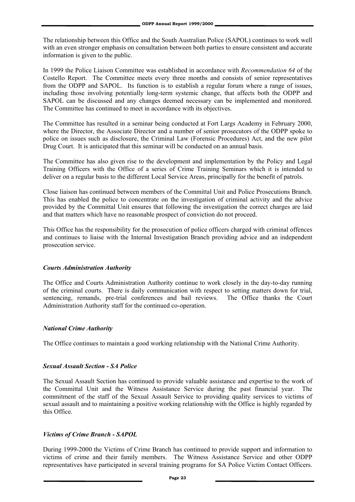The relationship between this Office and the South Australian Police (SAPOL) continues to work well with an even stronger emphasis on consultation between both parties to ensure consistent and accurate information is given to the public.

In 1999 the Police Liaison Committee was established in accordance with *Recommendation 64* of the Costello Report. The Committee meets every three months and consists of senior representatives from the ODPP and SAPOL. Its function is to establish a regular forum where a range of issues, including those involving potentially long-term systemic change, that affects both the ODPP and SAPOL can be discussed and any changes deemed necessary can be implemented and monitored. The Committee has continued to meet in accordance with its objectives.

The Committee has resulted in a seminar being conducted at Fort Largs Academy in February 2000, where the Director, the Associate Director and a number of senior prosecutors of the ODPP spoke to police on issues such as disclosure, the Criminal Law (Forensic Procedures) Act, and the new pilot Drug Court. It is anticipated that this seminar will be conducted on an annual basis.

The Committee has also given rise to the development and implementation by the Policy and Legal Training Officers with the Office of a series of Crime Training Seminars which it is intended to deliver on a regular basis to the different Local Service Areas, principally for the benefit of patrols.

Close liaison has continued between members of the Committal Unit and Police Prosecutions Branch. This has enabled the police to concentrate on the investigation of criminal activity and the advice provided by the Committal Unit ensures that following the investigation the correct charges are laid and that matters which have no reasonable prospect of conviction do not proceed.

This Office has the responsibility for the prosecution of police officers charged with criminal offences and continues to liaise with the Internal Investigation Branch providing advice and an independent prosecution service.

# *Courts Administration Authority*

The Office and Courts Administration Authority continue to work closely in the day-to-day running of the criminal courts. There is daily communication with respect to setting matters down for trial, sentencing, remands, pre-trial conferences and bail reviews. The Office thanks the Court Administration Authority staff for the continued co-operation.

### *National Crime Authority*

The Office continues to maintain a good working relationship with the National Crime Authority.

### *Sexual Assault Section - SA Police*

The Sexual Assault Section has continued to provide valuable assistance and expertise to the work of the Committal Unit and the Witness Assistance Service during the past financial year. The commitment of the staff of the Sexual Assault Service to providing quality services to victims of sexual assault and to maintaining a positive working relationship with the Office is highly regarded by this Office.

# *Victims of Crime Branch - SAPOL*

During 1999-2000 the Victims of Crime Branch has continued to provide support and information to victims of crime and their family members. The Witness Assistance Service and other ODPP representatives have participated in several training programs for SA Police Victim Contact Officers.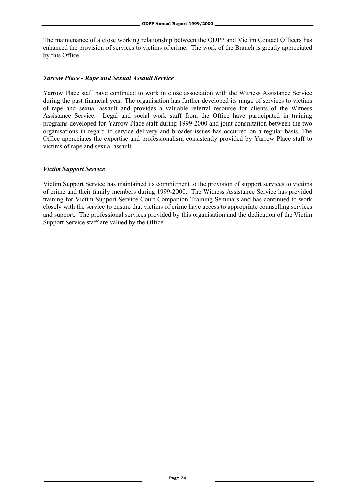The maintenance of a close working relationship between the ODPP and Victim Contact Officers has enhanced the provision of services to victims of crime. The work of the Branch is greatly appreciated by this Office.

### *Yarrow Place - Rape and Sexual Assault Service*

Yarrow Place staff have continued to work in close association with the Witness Assistance Service during the past financial year. The organisation has further developed its range of services to victims of rape and sexual assault and provides a valuable referral resource for clients of the Witness Assistance Service. Legal and social work staff from the Office have participated in training programs developed for Yarrow Place staff during 1999-2000 and joint consultation between the two organisations in regard to service delivery and broader issues has occurred on a regular basis. The Office appreciates the expertise and professionalism consistently provided by Yarrow Place staff to victims of rape and sexual assault.

### *Victim Support Service*

Victim Support Service has maintained its commitment to the provision of support services to victims of crime and their family members during 1999-2000. The Witness Assistance Service has provided training for Victim Support Service Court Companion Training Seminars and has continued to work closely with the service to ensure that victims of crime have access to appropriate counselling services and support. The professional services provided by this organisation and the dedication of the Victim Support Service staff are valued by the Office.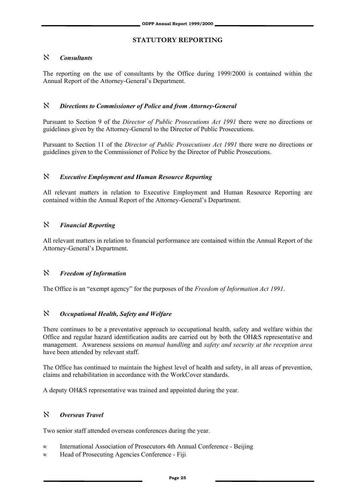# **STATUTORY REPORTING**

# ℵ *Consultants*

The reporting on the use of consultants by the Office during 1999/2000 is contained within the Annual Report of the Attorney-General's Department.

### ℵ *Directions to Commissioner of Police and from Attorney-General*

Pursuant to Section 9 of the *Director of Public Prosecutions Act 1991* there were no directions or guidelines given by the Attorney-General to the Director of Public Prosecutions.

Pursuant to Section 11 of the *Director of Public Prosecutions Act 1991* there were no directions or guidelines given to the Commissioner of Police by the Director of Public Prosecutions.

### ℵ *Executive Employment and Human Resource Reporting*

All relevant matters in relation to Executive Employment and Human Resource Reporting are contained within the Annual Report of the Attorney-General's Department.

# ℵ *Financial Reporting*

All relevant matters in relation to financial performance are contained within the Annual Report of the Attorney-General's Department.

# ℵ *Freedom of Information*

The Office is an "exempt agency" for the purposes of the *Freedom of Information Act 1991*.

# ℵ *Occupational Health, Safety and Welfare*

There continues to be a preventative approach to occupational health, safety and welfare within the Office and regular hazard identification audits are carried out by both the OH&S representative and management. Awareness sessions on *manual handling* and *safety and security at the reception area*  have been attended by relevant staff.

The Office has continued to maintain the highest level of health and safety, in all areas of prevention, claims and rehabilitation in accordance with the WorkCover standards.

A deputy OH&S representative was trained and appointed during the year.

# ℵ *Overseas Travel*

Two senior staff attended overseas conferences during the year.

- ≈ International Association of Prosecutors 4th Annual Conference Beijing
- ≈ Head of Prosecuting Agencies Conference Fiji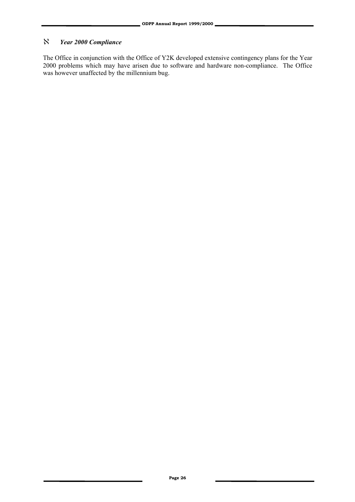# ℵ *Year 2000 Compliance*

The Office in conjunction with the Office of Y2K developed extensive contingency plans for the Year 2000 problems which may have arisen due to software and hardware non-compliance. The Office was however unaffected by the millennium bug.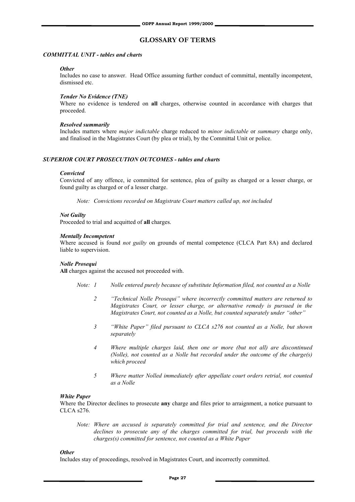### **GLOSSARY OF TERMS**

#### *COMMITTAL UNIT - tables and charts*

#### *Other*

Includes no case to answer. Head Office assuming further conduct of committal, mentally incompetent, dismissed etc.

#### *Tender No Evidence (TNE)*

Where no evidence is tendered on **all** charges, otherwise counted in accordance with charges that proceeded.

#### *Resolved summarily*

 Includes matters where *major indictable* charge reduced to *minor indictable* or *summary* charge only, and finalised in the Magistrates Court (by plea or trial), by the Committal Unit or police.

#### *SUPERIOR COURT PROSECUTION OUTCOMES - tables and charts*

#### *Convicted*

 Convicted of any offence, ie committed for sentence, plea of guilty as charged or a lesser charge, or found guilty as charged or of a lesser charge.

*Note: Convictions recorded on Magistrate Court matters called up, not included*

#### *Not Guilty*

Proceeded to trial and acquitted of **all** charges.

#### *Mentally Incompetent*

 Where accused is found *not guilty* on grounds of mental competence (CLCA Part 8A) and declared liable to supervision.

#### *Nolle Prosequi*

**All** charges against the accused not proceeded with.

- *Note: 1 Nolle entered purely because of substitute Information filed, not counted as a Nolle* 
	- *2 "Technical Nolle Prosequi" where incorrectly committed matters are returned to Magistrates Court, or lesser charge, or alternative remedy is pursued in the Magistrates Court, not counted as a Nolle, but counted separately under "other"*
	- *3 "White Paper" filed pursuant to CLCA s276 not counted as a Nolle, but shown separately*
	- *4 Where multiple charges laid, then one or more (but not all) are discontinued (Nolle), not counted as a Nolle but recorded under the outcome of the charge(s) which proceed*
	- *5 Where matter Nolled immediately after appellate court orders retrial, not counted as a Nolle*

#### *White Paper*

 Where the Director declines to prosecute **any** charge and files prior to arraignment, a notice pursuant to CLCA s276.

 *Note: Where an accused is separately committed for trial and sentence, and the Director declines to prosecute any of the charges committed for trial, but proceeds with the charges(s) committed for sentence, not counted as a White Paper* 

### *Other*

Includes stay of proceedings, resolved in Magistrates Court, and incorrectly committed.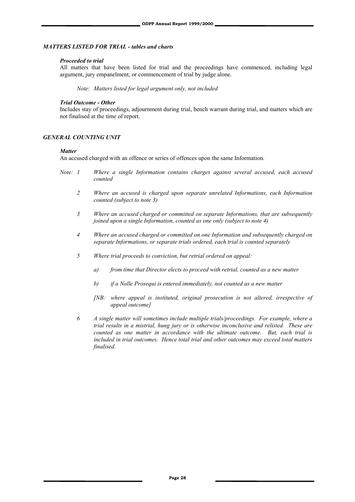#### *MATTERS LISTED FOR TRIAL - tables and charts*

#### *Proceeded to trial*

All matters that have been listed for trial and the proceedings have commenced, including legal argument, jury empanelment, or commencement of trial by judge alone.

*Note: Matters listed for legal argument only, not included* 

#### *Trial Outcome - Other*

Includes stay of proceedings, adjournment during trial, bench warrant during trial, and matters which are not finalised at the time of report.

#### *GENERAL COUNTING UNIT*

#### *Matter*

An accused charged with an offence or series of offences upon the same Information.

- *Note: 1 Where a single Information contains charges against several accused, each accused counted* 
	- *2 Where an accused is charged upon separate unrelated Informations, each Information counted (subject to note 3)*
	- *3 Where an accused charged or committed on separate Informations, that are subsequently joined upon a single Information, counted as one only (subject to note 4)*
	- *4 Where an accused charged or committed on one Information and subsequently charged on separate Informations, or separate trials ordered, each trial is counted separately*
	- *5 Where trial proceeds to conviction, but retrial ordered on appeal:* 
		- *a) from time that Director elects to proceed with retrial, counted as a new matter*
		- *b) if a Nolle Prosequi is entered immediately, not counted as a new matter*
		- *[NB: where appeal is instituted, original prosecution is not altered, irrespective of appeal outcome]*
	- *6 A single matter will sometimes include multiple trials/proceedings. For example, where a trial results in a mistrial, hung jury or is otherwise inconclusive and relisted. These are counted as one matter in accordance with the ultimate outcome. But, each trial is included in trial outcomes. Hence total trial and other outcomes may exceed total matters finalised.*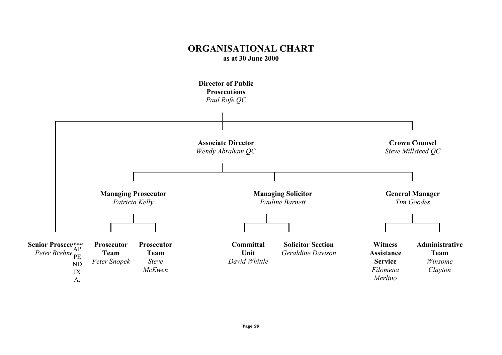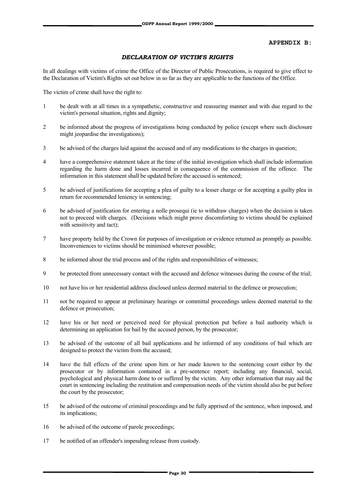### **APPENDIX B:**

### *DECLARATION OF VICTIM'S RIGHTS*

In all dealings with victims of crime the Office of the Director of Public Prosecutions, is required to give effect to the Declaration of Victim's Rights set out below in so far as they are applicable to the functions of the Office.

The victim of crime shall have the right to:

- 1 be dealt with at all times in a sympathetic, constructive and reassuring manner and with due regard to the victim's personal situation, rights and dignity;
- 2 be informed about the progress of investigations being conducted by police (except where such disclosure might jeopardise the investigations);
- 3 be advised of the charges laid against the accused and of any modifications to the charges in question;
- 4 have a comprehensive statement taken at the time of the initial investigation which shall include information regarding the harm done and losses incurred in consequence of the commission of the offence. The information in this statement shall be updated before the accused is sentenced;
- 5 be advised of justifications for accepting a plea of guilty to a lesser charge or for accepting a guilty plea in return for recommended leniency in sentencing;
- 6 be advised of justification for entering a nolle prosequi (ie to withdraw charges) when the decision is taken not to proceed with charges. (Decisions which might prove discomforting to victims should be explained with sensitivity and tact);
- 7 have property held by the Crown for purposes of investigation or evidence returned as promptly as possible. Inconveniences to victims should be minimised wherever possible;
- 8 be informed about the trial process and of the rights and responsibilities of witnesses;
- 9 be protected from unnecessary contact with the accused and defence witnesses during the course of the trial;
- 10 not have his or her residential address disclosed unless deemed material to the defence or prosecution;
- 11 not be required to appear at preliminary hearings or committal proceedings unless deemed material to the defence or prosecution;
- 12 have his or her need or perceived need for physical protection put before a bail authority which is determining an application for bail by the accused person, by the prosecutor;
- 13 be advised of the outcome of all bail applications and be informed of any conditions of bail which are designed to protect the victim from the accused:
- 14 have the full effects of the crime upon him or her made known to the sentencing court either by the prosecutor or by information contained in a pre-sentence report; including any financial, social, psychological and physical harm done to or suffered by the victim. Any other information that may aid the court in sentencing including the restitution and compensation needs of the victim should also be put before the court by the prosecutor;
- 15 be advised of the outcome of criminal proceedings and be fully apprised of the sentence, when imposed, and its implications;
- 16 be advised of the outcome of parole proceedings;
- 17 be notified of an offender's impending release from custody.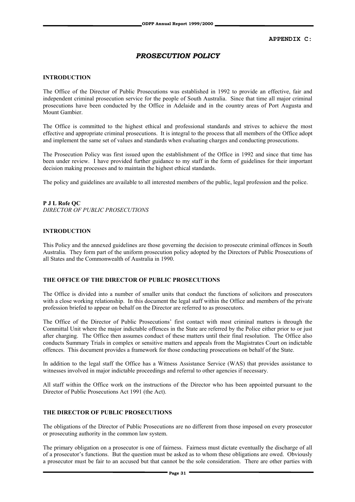#### **APPENDIX C:**

# *PROSECUTION POLICY*

### **INTRODUCTION**

The Office of the Director of Public Prosecutions was established in 1992 to provide an effective, fair and independent criminal prosecution service for the people of South Australia. Since that time all major criminal prosecutions have been conducted by the Office in Adelaide and in the country areas of Port Augusta and Mount Gambier.

The Office is committed to the highest ethical and professional standards and strives to achieve the most effective and appropriate criminal prosecutions. It is integral to the process that all members of the Office adopt and implement the same set of values and standards when evaluating charges and conducting prosecutions.

The Prosecution Policy was first issued upon the establishment of the Office in 1992 and since that time has been under review. I have provided further guidance to my staff in the form of guidelines for their important decision making processes and to maintain the highest ethical standards.

The policy and guidelines are available to all interested members of the public, legal profession and the police.

### **P J L Rofe QC**

*DIRECTOR OF PUBLIC PROSECUTIONS*

### **INTRODUCTION**

This Policy and the annexed guidelines are those governing the decision to prosecute criminal offences in South Australia. They form part of the uniform prosecution policy adopted by the Directors of Public Prosecutions of all States and the Commonwealth of Australia in 1990.

### **THE OFFICE OF THE DIRECTOR OF PUBLIC PROSECUTIONS**

The Office is divided into a number of smaller units that conduct the functions of solicitors and prosecutors with a close working relationship. In this document the legal staff within the Office and members of the private profession briefed to appear on behalf on the Director are referred to as prosecutors.

The Office of the Director of Public Prosecutions' first contact with most criminal matters is through the Committal Unit where the major indictable offences in the State are referred by the Police either prior to or just after charging. The Office then assumes conduct of these matters until their final resolution. The Office also conducts Summary Trials in complex or sensitive matters and appeals from the Magistrates Court on indictable offences. This document provides a framework for those conducting prosecutions on behalf of the State.

In addition to the legal staff the Office has a Witness Assistance Service (WAS) that provides assistance to witnesses involved in major indictable proceedings and referral to other agencies if necessary.

All staff within the Office work on the instructions of the Director who has been appointed pursuant to the Director of Public Prosecutions Act 1991 (the Act).

### **THE DIRECTOR OF PUBLIC PROSECUTIONS**

The obligations of the Director of Public Prosecutions are no different from those imposed on every prosecutor or prosecuting authority in the common law system.

The primary obligation on a prosecutor is one of fairness. Fairness must dictate eventually the discharge of all of a prosecutor's functions. But the question must be asked as to whom these obligations are owed. Obviously a prosecutor must be fair to an accused but that cannot be the sole consideration. There are other parties with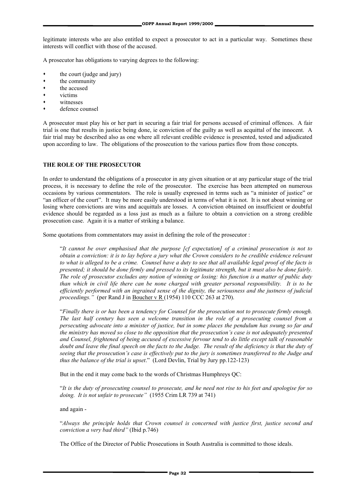legitimate interests who are also entitled to expect a prosecutor to act in a particular way. Sometimes these interests will conflict with those of the accused.

A prosecutor has obligations to varying degrees to the following:

- the court (judge and jury)
- the community
- the accused
- victims
- witnesses
- defence counsel

A prosecutor must play his or her part in securing a fair trial for persons accused of criminal offences. A fair trial is one that results in justice being done, ie conviction of the guilty as well as acquittal of the innocent. A fair trial may be described also as one where all relevant credible evidence is presented, tested and adjudicated upon according to law. The obligations of the prosecution to the various parties flow from those concepts.

### **THE ROLE OF THE PROSECUTOR**

In order to understand the obligations of a prosecutor in any given situation or at any particular stage of the trial process, it is necessary to define the role of the prosecutor. The exercise has been attempted on numerous occasions by various commentators. The role is usually expressed in terms such as "a minister of justice" or "an officer of the court". It may be more easily understood in terms of what it is not. It is not about winning or losing where convictions are wins and acquittals are losses. A conviction obtained on insufficient or doubtful evidence should be regarded as a loss just as much as a failure to obtain a conviction on a strong credible prosecution case. Again it is a matter of striking a balance.

Some quotations from commentators may assist in defining the role of the prosecutor :

 "*It cannot be over emphasised that the purpose [cf expectation] of a criminal prosecution is not to obtain a conviction: it is to lay before a jury what the Crown considers to be credible evidence relevant to what is alleged to be a crime. Counsel have a duty to see that all available legal proof of the facts is presented; it should be done firmly and pressed to its legitimate strength, but it must also be done fairly. The role of prosecutor excludes any notion of winning or losing: his function is a matter of public duty than which in civil life there can be none charged with greater personal responsibility. It is to be efficiently performed with an ingrained sense of the dignity, the seriousness and the justness of judicial proceedings."* (per Rand J in Boucher v R (1954) 110 CCC 263 at 270).

 "*Finally there is or has been a tendency for Counsel for the prosecution not to prosecute firmly enough. The last half century has seen a welcome transition in the role of a prosecuting counsel from a persecuting advocate into a minister of justice, but in some places the pendulum has swung so far and the ministry has moved so close to the opposition that the prosecution's case is not adequately presented and Counsel, frightened of being accused of excessive fervour tend to do little except talk of reasonable doubt and leave the final speech on the facts to the Judge. The result of the deficiency is that the duty of seeing that the prosecution's case is effectively put to the jury is sometimes transferred to the Judge and thus the balance of the trial is upset*." (Lord Devlin, Trial by Jury pp.122-123)

But in the end it may come back to the words of Christmas Humphreys QC:

 "*It is the duty of prosecuting counsel to prosecute, and he need not rise to his feet and apologise for so doing. It is not unfair to prosecute"* (1955 Crim LR 739 at 741)

and again -

 "*Always the principle holds that Crown counsel is concerned with justice first, justice second and conviction a very bad third"* (Ibid p.746)

The Office of the Director of Public Prosecutions in South Australia is committed to those ideals.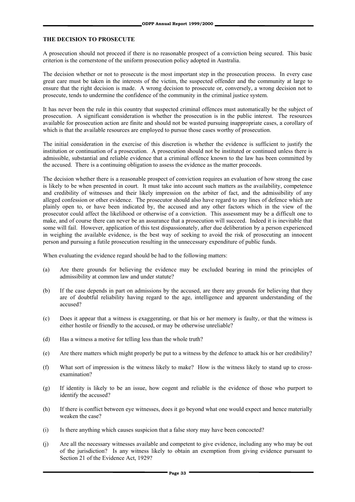### **THE DECISION TO PROSECUTE**

A prosecution should not proceed if there is no reasonable prospect of a conviction being secured. This basic criterion is the cornerstone of the uniform prosecution policy adopted in Australia.

The decision whether or not to prosecute is the most important step in the prosecution process. In every case great care must be taken in the interests of the victim, the suspected offender and the community at large to ensure that the right decision is made. A wrong decision to prosecute or, conversely, a wrong decision not to prosecute, tends to undermine the confidence of the community in the criminal justice system.

It has never been the rule in this country that suspected criminal offences must automatically be the subject of prosecution. A significant consideration is whether the prosecution is in the public interest. The resources available for prosecution action are finite and should not be wasted pursuing inappropriate cases, a corollary of which is that the available resources are employed to pursue those cases worthy of prosecution.

The initial consideration in the exercise of this discretion is whether the evidence is sufficient to justify the institution or continuation of a prosecution. A prosecution should not be instituted or continued unless there is admissible, substantial and reliable evidence that a criminal offence known to the law has been committed by the accused. There is a continuing obligation to assess the evidence as the matter proceeds.

The decision whether there is a reasonable prospect of conviction requires an evaluation of how strong the case is likely to be when presented in court. It must take into account such matters as the availability, competence and credibility of witnesses and their likely impression on the arbiter of fact, and the admissibility of any alleged confession or other evidence. The prosecutor should also have regard to any lines of defence which are plainly open to, or have been indicated by, the accused and any other factors which in the view of the prosecutor could affect the likelihood or otherwise of a conviction. This assessment may be a difficult one to make, and of course there can never be an assurance that a prosecution will succeed. Indeed it is inevitable that some will fail. However, application of this test dispassionately, after due deliberation by a person experienced in weighing the available evidence, is the best way of seeking to avoid the risk of prosecuting an innocent person and pursuing a futile prosecution resulting in the unnecessary expenditure of public funds.

When evaluating the evidence regard should be had to the following matters:

- (a) Are there grounds for believing the evidence may be excluded bearing in mind the principles of admissibility at common law and under statute?
- (b) If the case depends in part on admissions by the accused, are there any grounds for believing that they are of doubtful reliability having regard to the age, intelligence and apparent understanding of the accused?
- (c) Does it appear that a witness is exaggerating, or that his or her memory is faulty, or that the witness is either hostile or friendly to the accused, or may be otherwise unreliable?
- (d) Has a witness a motive for telling less than the whole truth?
- (e) Are there matters which might properly be put to a witness by the defence to attack his or her credibility?
- (f) What sort of impression is the witness likely to make? How is the witness likely to stand up to crossexamination?
- (g) If identity is likely to be an issue, how cogent and reliable is the evidence of those who purport to identify the accused?
- (h) If there is conflict between eye witnesses, does it go beyond what one would expect and hence materially weaken the case?
- (i) Is there anything which causes suspicion that a false story may have been concocted?
- (j) Are all the necessary witnesses available and competent to give evidence, including any who may be out of the jurisdiction? Is any witness likely to obtain an exemption from giving evidence pursuant to Section 21 of the Evidence Act, 1929?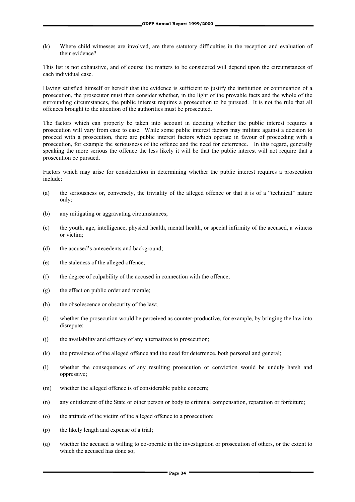(k) Where child witnesses are involved, are there statutory difficulties in the reception and evaluation of their evidence?

This list is not exhaustive, and of course the matters to be considered will depend upon the circumstances of each individual case.

Having satisfied himself or herself that the evidence is sufficient to justify the institution or continuation of a prosecution, the prosecutor must then consider whether, in the light of the provable facts and the whole of the surrounding circumstances, the public interest requires a prosecution to be pursued. It is not the rule that all offences brought to the attention of the authorities must be prosecuted.

The factors which can properly be taken into account in deciding whether the public interest requires a prosecution will vary from case to case. While some public interest factors may militate against a decision to proceed with a prosecution, there are public interest factors which operate in favour of proceeding with a prosecution, for example the seriousness of the offence and the need for deterrence. In this regard, generally speaking the more serious the offence the less likely it will be that the public interest will not require that a prosecution be pursued.

Factors which may arise for consideration in determining whether the public interest requires a prosecution include:

- (a) the seriousness or, conversely, the triviality of the alleged offence or that it is of a "technical" nature only;
- (b) any mitigating or aggravating circumstances;
- (c) the youth, age, intelligence, physical health, mental health, or special infirmity of the accused, a witness or victim;
- (d) the accused's antecedents and background;
- (e) the staleness of the alleged offence;
- (f) the degree of culpability of the accused in connection with the offence;
- (g) the effect on public order and morale;
- (h) the obsolescence or obscurity of the law;
- (i) whether the prosecution would be perceived as counter-productive, for example, by bringing the law into disrepute;
- (j) the availability and efficacy of any alternatives to prosecution;
- (k) the prevalence of the alleged offence and the need for deterrence, both personal and general;
- (l) whether the consequences of any resulting prosecution or conviction would be unduly harsh and oppressive;
- (m) whether the alleged offence is of considerable public concern;
- (n) any entitlement of the State or other person or body to criminal compensation, reparation or forfeiture;
- (o) the attitude of the victim of the alleged offence to a prosecution;
- (p) the likely length and expense of a trial;
- (q) whether the accused is willing to co-operate in the investigation or prosecution of others, or the extent to which the accused has done so;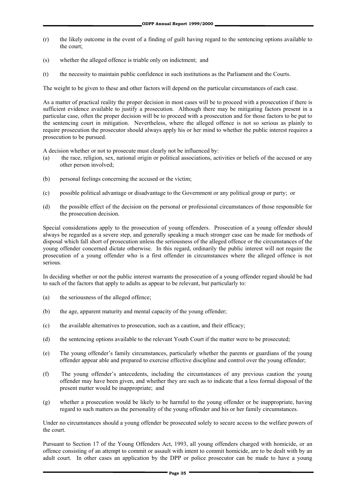- (r) the likely outcome in the event of a finding of guilt having regard to the sentencing options available to the court;
- (s) whether the alleged offence is triable only on indictment; and
- (t) the necessity to maintain public confidence in such institutions as the Parliament and the Courts.

The weight to be given to these and other factors will depend on the particular circumstances of each case.

As a matter of practical reality the proper decision in most cases will be to proceed with a prosecution if there is sufficient evidence available to justify a prosecution. Although there may be mitigating factors present in a particular case, often the proper decision will be to proceed with a prosecution and for those factors to be put to the sentencing court in mitigation. Nevertheless, where the alleged offence is not so serious as plainly to require prosecution the prosecutor should always apply his or her mind to whether the public interest requires a prosecution to be pursued.

A decision whether or not to prosecute must clearly not be influenced by:

- (a) the race, religion, sex, national origin or political associations, activities or beliefs of the accused or any other person involved;
- (b) personal feelings concerning the accused or the victim;
- (c) possible political advantage or disadvantage to the Government or any political group or party; or
- (d) the possible effect of the decision on the personal or professional circumstances of those responsible for the prosecution decision.

Special considerations apply to the prosecution of young offenders. Prosecution of a young offender should always be regarded as a severe step, and generally speaking a much stronger case can be made for methods of disposal which fall short of prosecution unless the seriousness of the alleged offence or the circumstances of the young offender concerned dictate otherwise. In this regard, ordinarily the public interest will not require the prosecution of a young offender who is a first offender in circumstances where the alleged offence is not serious.

In deciding whether or not the public interest warrants the prosecution of a young offender regard should be had to such of the factors that apply to adults as appear to be relevant, but particularly to:

- (a) the seriousness of the alleged offence;
- (b) the age, apparent maturity and mental capacity of the young offender;
- (c) the available alternatives to prosecution, such as a caution, and their efficacy;
- (d) the sentencing options available to the relevant Youth Court if the matter were to be prosecuted;
- (e) The young offender's family circumstances, particularly whether the parents or guardians of the young offender appear able and prepared to exercise effective discipline and control over the young offender;
- (f) The young offender's antecedents, including the circumstances of any previous caution the young offender may have been given, and whether they are such as to indicate that a less formal disposal of the present matter would be inappropriate; and
- (g) whether a prosecution would be likely to be harmful to the young offender or be inappropriate, having regard to such matters as the personality of the young offender and his or her family circumstances.

Under no circumstances should a young offender be prosecuted solely to secure access to the welfare powers of the court.

Pursuant to Section 17 of the Young Offenders Act, 1993, all young offenders charged with homicide, or an offence consisting of an attempt to commit or assault with intent to commit homicide, are to be dealt with by an adult court. In other cases an application by the DPP or police prosecutor can be made to have a young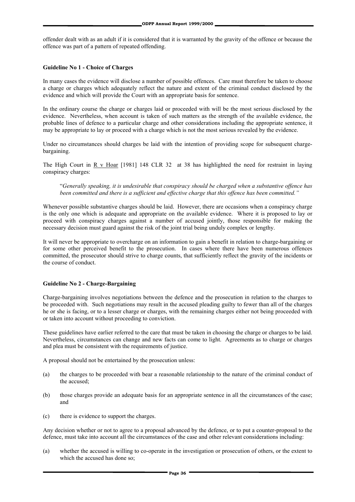offender dealt with as an adult if it is considered that it is warranted by the gravity of the offence or because the offence was part of a pattern of repeated offending.

#### **Guideline No 1 - Choice of Charges**

In many cases the evidence will disclose a number of possible offences. Care must therefore be taken to choose a charge or charges which adequately reflect the nature and extent of the criminal conduct disclosed by the evidence and which will provide the Court with an appropriate basis for sentence.

In the ordinary course the charge or charges laid or proceeded with will be the most serious disclosed by the evidence. Nevertheless, when account is taken of such matters as the strength of the available evidence, the probable lines of defence to a particular charge and other considerations including the appropriate sentence, it may be appropriate to lay or proceed with a charge which is not the most serious revealed by the evidence.

Under no circumstances should charges be laid with the intention of providing scope for subsequent chargebargaining.

The High Court in R v Hoar [1981] 148 CLR 32 at 38 has highlighted the need for restraint in laying conspiracy charges:

 "*Generally speaking, it is undesirable that conspiracy should be charged when a substantive offence has been committed and there is a sufficient and effective charge that this offence has been committed."*

Whenever possible substantive charges should be laid. However, there are occasions when a conspiracy charge is the only one which is adequate and appropriate on the available evidence. Where it is proposed to lay or proceed with conspiracy charges against a number of accused jointly, those responsible for making the necessary decision must guard against the risk of the joint trial being unduly complex or lengthy.

It will never be appropriate to overcharge on an information to gain a benefit in relation to charge-bargaining or for some other perceived benefit to the prosecution. In cases where there have been numerous offences committed, the prosecutor should strive to charge counts, that sufficiently reflect the gravity of the incidents or the course of conduct.

#### **Guideline No 2 - Charge-Bargaining**

Charge-bargaining involves negotiations between the defence and the prosecution in relation to the charges to be proceeded with. Such negotiations may result in the accused pleading guilty to fewer than all of the charges he or she is facing, or to a lesser charge or charges, with the remaining charges either not being proceeded with or taken into account without proceeding to conviction.

These guidelines have earlier referred to the care that must be taken in choosing the charge or charges to be laid. Nevertheless, circumstances can change and new facts can come to light. Agreements as to charge or charges and plea must be consistent with the requirements of justice.

A proposal should not be entertained by the prosecution unless:

- (a) the charges to be proceeded with bear a reasonable relationship to the nature of the criminal conduct of the accused;
- (b) those charges provide an adequate basis for an appropriate sentence in all the circumstances of the case; and
- (c) there is evidence to support the charges.

Any decision whether or not to agree to a proposal advanced by the defence, or to put a counter-proposal to the defence, must take into account all the circumstances of the case and other relevant considerations including:

(a) whether the accused is willing to co-operate in the investigation or prosecution of others, or the extent to which the accused has done so;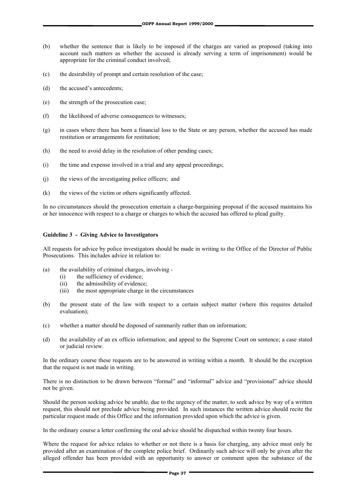- (b) whether the sentence that is likely to be imposed if the charges are varied as proposed (taking into account such matters as whether the accused is already serving a term of imprisonment) would be appropriate for the criminal conduct involved;
- (c) the desirability of prompt and certain resolution of the case;
- (d) the accused's antecedents;
- (e) the strength of the prosecution case;
- (f) the likelihood of adverse consequences to witnesses;
- (g) in cases where there has been a financial loss to the State or any person, whether the accused has made restitution or arrangements for restitution;
- (h) the need to avoid delay in the resolution of other pending cases;
- (i) the time and expense involved in a trial and any appeal proceedings;
- (j) the views of the investigating police officers; and
- (k) the views of the victim or others significantly affected.

In no circumstances should the prosecution entertain a charge-bargaining proposal if the accused maintains his or her innocence with respect to a charge or charges to which the accused has offered to plead guilty.

#### **Guideline 3 - Giving Advice to Investigators**

All requests for advice by police investigators should be made in writing to the Office of the Director of Public Prosecutions. This includes advice in relation to:

- (a) the availability of criminal charges, involving
	- (i) the sufficiency of evidence;
	- (ii) the admissibility of evidence;
	- (iii) the most appropriate charge in the circumstances
- (b) the present state of the law with respect to a certain subject matter (where this requires detailed evaluation);
- (c) whether a matter should be disposed of summarily rather than on information;
- (d) the availability of an ex officio information; and appeal to the Supreme Court on sentence; a case stated or judicial review.

In the ordinary course these requests are to be answered in writing within a month. It should be the exception that the request is not made in writing.

There is no distinction to be drawn between "formal" and "informal" advice and "provisional" advice should not be given.

Should the person seeking advice be unable, due to the urgency of the matter, to seek advice by way of a written request, this should not preclude advice being provided. In such instances the written advice should recite the particular request made of this Office and the information provided upon which the advice is given.

In the ordinary course a letter confirming the oral advice should be dispatched within twenty four hours.

Where the request for advice relates to whether or not there is a basis for charging, any advice must only be provided after an examination of the complete police brief. Ordinarily such advice will only be given after the alleged offender has been provided with an opportunity to answer or comment upon the substance of the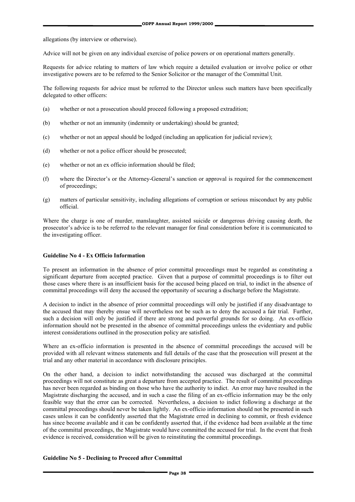allegations (by interview or otherwise).

Advice will not be given on any individual exercise of police powers or on operational matters generally.

Requests for advice relating to matters of law which require a detailed evaluation or involve police or other investigative powers are to be referred to the Senior Solicitor or the manager of the Committal Unit.

The following requests for advice must be referred to the Director unless such matters have been specifically delegated to other officers:

- (a) whether or not a prosecution should proceed following a proposed extradition;
- (b) whether or not an immunity (indemnity or undertaking) should be granted;
- (c) whether or not an appeal should be lodged (including an application for judicial review);
- (d) whether or not a police officer should be prosecuted;
- (e) whether or not an ex officio information should be filed;
- (f) where the Director's or the Attorney-General's sanction or approval is required for the commencement of proceedings;
- (g) matters of particular sensitivity, including allegations of corruption or serious misconduct by any public official.

Where the charge is one of murder, manslaughter, assisted suicide or dangerous driving causing death, the prosecutor's advice is to be referred to the relevant manager for final consideration before it is communicated to the investigating officer.

### **Guideline No 4 - Ex Officio Information**

To present an information in the absence of prior committal proceedings must be regarded as constituting a significant departure from accepted practice. Given that a purpose of committal proceedings is to filter out those cases where there is an insufficient basis for the accused being placed on trial, to indict in the absence of committal proceedings will deny the accused the opportunity of securing a discharge before the Magistrate.

A decision to indict in the absence of prior committal proceedings will only be justified if any disadvantage to the accused that may thereby ensue will nevertheless not be such as to deny the accused a fair trial. Further, such a decision will only be justified if there are strong and powerful grounds for so doing. An ex-officio information should not be presented in the absence of committal proceedings unless the evidentiary and public interest considerations outlined in the prosecution policy are satisfied.

Where an ex-officio information is presented in the absence of committal proceedings the accused will be provided with all relevant witness statements and full details of the case that the prosecution will present at the trial and any other material in accordance with disclosure principles.

On the other hand, a decision to indict notwithstanding the accused was discharged at the committal proceedings will not constitute as great a departure from accepted practice. The result of committal proceedings has never been regarded as binding on those who have the authority to indict. An error may have resulted in the Magistrate discharging the accused, and in such a case the filing of an ex-officio information may be the only feasible way that the error can be corrected. Nevertheless, a decision to indict following a discharge at the committal proceedings should never be taken lightly. An ex-officio information should not be presented in such cases unless it can be confidently asserted that the Magistrate erred in declining to commit, or fresh evidence has since become available and it can be confidently asserted that, if the evidence had been available at the time of the committal proceedings, the Magistrate would have committed the accused for trial. In the event that fresh evidence is received, consideration will be given to reinstituting the committal proceedings.

### **Guideline No 5 - Declining to Proceed after Committal**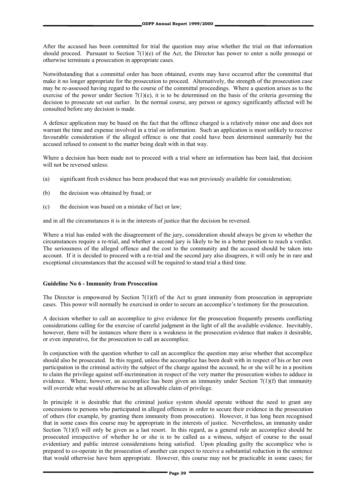After the accused has been committed for trial the question may arise whether the trial on that information should proceed. Pursuant to Section  $7(1)(e)$  of the Act, the Director has power to enter a nolle prosequi or otherwise terminate a prosecution in appropriate cases.

Notwithstanding that a committal order has been obtained, events may have occurred after the committal that make it no longer appropriate for the prosecution to proceed. Alternatively, the strength of the prosecution case may be re-assessed having regard to the course of the committal proceedings. Where a question arises as to the exercise of the power under Section 7(1)(e), it is to be determined on the basis of the criteria governing the decision to prosecute set out earlier. In the normal course, any person or agency significantly affected will be consulted before any decision is made.

A defence application may be based on the fact that the offence charged is a relatively minor one and does not warrant the time and expense involved in a trial on information. Such an application is most unlikely to receive favourable consideration if the alleged offence is one that could have been determined summarily but the accused refused to consent to the matter being dealt with in that way.

Where a decision has been made not to proceed with a trial where an information has been laid, that decision will not be reversed unless:

- (a) significant fresh evidence has been produced that was not previously available for consideration;
- (b) the decision was obtained by fraud; or
- (c) the decision was based on a mistake of fact or law;

and in all the circumstances it is in the interests of justice that the decision be reversed.

Where a trial has ended with the disagreement of the jury, consideration should always be given to whether the circumstances require a re-trial, and whether a second jury is likely to be in a better position to reach a verdict. The seriousness of the alleged offence and the cost to the community and the accused should be taken into account. If it is decided to proceed with a re-trial and the second jury also disagrees, it will only be in rare and exceptional circumstances that the accused will be required to stand trial a third time.

### **Guideline No 6 - Immunity from Prosecution**

The Director is empowered by Section 7(1)(f) of the Act to grant immunity from prosecution in appropriate cases. This power will normally be exercised in order to secure an accomplice's testimony for the prosecution.

A decision whether to call an accomplice to give evidence for the prosecution frequently presents conflicting considerations calling for the exercise of careful judgment in the light of all the available evidence. Inevitably, however, there will be instances where there is a weakness in the prosecution evidence that makes it desirable, or even imperative, for the prosecution to call an accomplice.

In conjunction with the question whether to call an accomplice the question may arise whether that accomplice should also be prosecuted. In this regard, unless the accomplice has been dealt with in respect of his or her own participation in the criminal activity the subject of the charge against the accused, he or she will be in a position to claim the privilege against self-incrimination in respect of the very matter the prosecution wishes to adduce in evidence. Where, however, an accomplice has been given an immunity under Section 7(1)(f) that immunity will override what would otherwise be an allowable claim of privilege.

In principle it is desirable that the criminal justice system should operate without the need to grant any concessions to persons who participated in alleged offences in order to secure their evidence in the prosecution of others (for example, by granting them immunity from prosecution). However, it has long been recognised that in some cases this course may be appropriate in the interests of justice. Nevertheless, an immunity under Section 7(1)(f) will only be given as a last resort. In this regard, as a general rule an accomplice should be prosecuted irrespective of whether he or she is to be called as a witness, subject of course to the usual evidentiary and public interest considerations being satisfied. Upon pleading guilty the accomplice who is prepared to co-operate in the prosecution of another can expect to receive a substantial reduction in the sentence that would otherwise have been appropriate. However, this course may not be practicable in some cases; for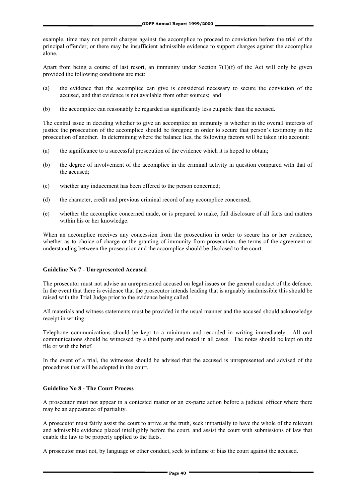example, time may not permit charges against the accomplice to proceed to conviction before the trial of the principal offender, or there may be insufficient admissible evidence to support charges against the accomplice alone.

Apart from being a course of last resort, an immunity under Section 7(1)(f) of the Act will only be given provided the following conditions are met:

- (a) the evidence that the accomplice can give is considered necessary to secure the conviction of the accused, and that evidence is not available from other sources; and
- (b) the accomplice can reasonably be regarded as significantly less culpable than the accused.

The central issue in deciding whether to give an accomplice an immunity is whether in the overall interests of justice the prosecution of the accomplice should be foregone in order to secure that person's testimony in the prosecution of another. In determining where the balance lies, the following factors will be taken into account:

- (a) the significance to a successful prosecution of the evidence which it is hoped to obtain;
- (b) the degree of involvement of the accomplice in the criminal activity in question compared with that of the accused;
- (c) whether any inducement has been offered to the person concerned;
- (d) the character, credit and previous criminal record of any accomplice concerned;
- (e) whether the accomplice concerned made, or is prepared to make, full disclosure of all facts and matters within his or her knowledge.

When an accomplice receives any concession from the prosecution in order to secure his or her evidence, whether as to choice of charge or the granting of immunity from prosecution, the terms of the agreement or understanding between the prosecution and the accomplice should be disclosed to the court.

### **Guideline No 7 - Unrepresented Accused**

The prosecutor must not advise an unrepresented accused on legal issues or the general conduct of the defence. In the event that there is evidence that the prosecutor intends leading that is arguably inadmissible this should be raised with the Trial Judge prior to the evidence being called.

All materials and witness statements must be provided in the usual manner and the accused should acknowledge receipt in writing.

Telephone communications should be kept to a minimum and recorded in writing immediately. All oral communications should be witnessed by a third party and noted in all cases. The notes should be kept on the file or with the brief.

In the event of a trial, the witnesses should be advised that the accused is unrepresented and advised of the procedures that will be adopted in the court.

### **Guideline No 8 - The Court Process**

A prosecutor must not appear in a contested matter or an ex-parte action before a judicial officer where there may be an appearance of partiality.

A prosecutor must fairly assist the court to arrive at the truth, seek impartially to have the whole of the relevant and admissible evidence placed intelligibly before the court, and assist the court with submissions of law that enable the law to be properly applied to the facts.

A prosecutor must not, by language or other conduct, seek to inflame or bias the court against the accused.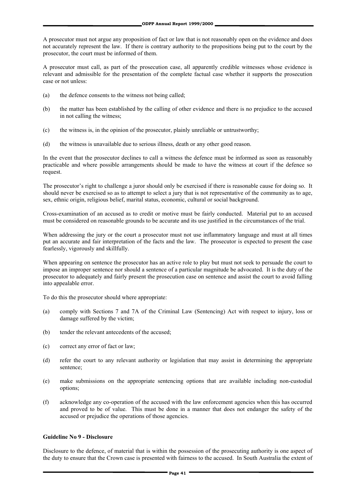A prosecutor must not argue any proposition of fact or law that is not reasonably open on the evidence and does not accurately represent the law. If there is contrary authority to the propositions being put to the court by the prosecutor, the court must be informed of them.

A prosecutor must call, as part of the prosecution case, all apparently credible witnesses whose evidence is relevant and admissible for the presentation of the complete factual case whether it supports the prosecution case or not unless:

- (a) the defence consents to the witness not being called;
- (b) the matter has been established by the calling of other evidence and there is no prejudice to the accused in not calling the witness;
- (c) the witness is, in the opinion of the prosecutor, plainly unreliable or untrustworthy;
- (d) the witness is unavailable due to serious illness, death or any other good reason.

In the event that the prosecutor declines to call a witness the defence must be informed as soon as reasonably practicable and where possible arrangements should be made to have the witness at court if the defence so request.

The prosecutor's right to challenge a juror should only be exercised if there is reasonable cause for doing so. It should never be exercised so as to attempt to select a jury that is not representative of the community as to age, sex, ethnic origin, religious belief, marital status, economic, cultural or social background.

Cross-examination of an accused as to credit or motive must be fairly conducted. Material put to an accused must be considered on reasonable grounds to be accurate and its use justified in the circumstances of the trial.

When addressing the jury or the court a prosecutor must not use inflammatory language and must at all times put an accurate and fair interpretation of the facts and the law. The prosecutor is expected to present the case fearlessly, vigorously and skillfully.

When appearing on sentence the prosecutor has an active role to play but must not seek to persuade the court to impose an improper sentence nor should a sentence of a particular magnitude be advocated. It is the duty of the prosecutor to adequately and fairly present the prosecution case on sentence and assist the court to avoid falling into appealable error.

To do this the prosecutor should where appropriate:

- (a) comply with Sections 7 and 7A of the Criminal Law (Sentencing) Act with respect to injury, loss or damage suffered by the victim;
- (b) tender the relevant antecedents of the accused;
- (c) correct any error of fact or law;
- (d) refer the court to any relevant authority or legislation that may assist in determining the appropriate sentence;
- (e) make submissions on the appropriate sentencing options that are available including non-custodial options;
- (f) acknowledge any co-operation of the accused with the law enforcement agencies when this has occurred and proved to be of value. This must be done in a manner that does not endanger the safety of the accused or prejudice the operations of those agencies.

### **Guideline No 9 - Disclosure**

Disclosure to the defence, of material that is within the possession of the prosecuting authority is one aspect of the duty to ensure that the Crown case is presented with fairness to the accused. In South Australia the extent of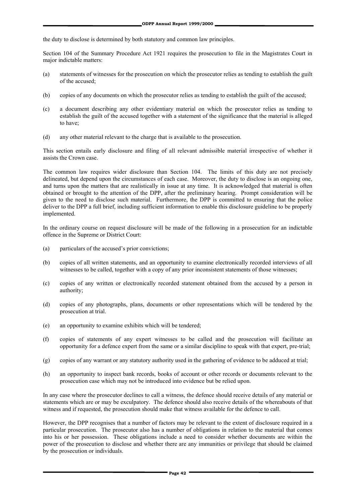the duty to disclose is determined by both statutory and common law principles.

Section 104 of the Summary Procedure Act 1921 requires the prosecution to file in the Magistrates Court in major indictable matters:

- (a) statements of witnesses for the prosecution on which the prosecutor relies as tending to establish the guilt of the accused;
- (b) copies of any documents on which the prosecutor relies as tending to establish the guilt of the accused;
- (c) a document describing any other evidentiary material on which the prosecutor relies as tending to establish the guilt of the accused together with a statement of the significance that the material is alleged to have;
- (d) any other material relevant to the charge that is available to the prosecution.

This section entails early disclosure and filing of all relevant admissible material irrespective of whether it assists the Crown case.

The common law requires wider disclosure than Section 104. The limits of this duty are not precisely delineated, but depend upon the circumstances of each case. Moreover, the duty to disclose is an ongoing one, and turns upon the matters that are realistically in issue at any time. It is acknowledged that material is often obtained or brought to the attention of the DPP, after the preliminary hearing. Prompt consideration will be given to the need to disclose such material. Furthermore, the DPP is committed to ensuring that the police deliver to the DPP a full brief, including sufficient information to enable this disclosure guideline to be properly implemented.

In the ordinary course on request disclosure will be made of the following in a prosecution for an indictable offence in the Supreme or District Court:

- (a) particulars of the accused's prior convictions;
- (b) copies of all written statements, and an opportunity to examine electronically recorded interviews of all witnesses to be called, together with a copy of any prior inconsistent statements of those witnesses;
- (c) copies of any written or electronically recorded statement obtained from the accused by a person in authority;
- (d) copies of any photographs, plans, documents or other representations which will be tendered by the prosecution at trial.
- (e) an opportunity to examine exhibits which will be tendered;
- (f) copies of statements of any expert witnesses to be called and the prosecution will facilitate an opportunity for a defence expert from the same or a similar discipline to speak with that expert, pre-trial;
- (g) copies of any warrant or any statutory authority used in the gathering of evidence to be adduced at trial;
- (h) an opportunity to inspect bank records, books of account or other records or documents relevant to the prosecution case which may not be introduced into evidence but be relied upon.

In any case where the prosecutor declines to call a witness, the defence should receive details of any material or statements which are or may be exculpatory. The defence should also receive details of the whereabouts of that witness and if requested, the prosecution should make that witness available for the defence to call.

However, the DPP recognises that a number of factors may be relevant to the extent of disclosure required in a particular prosecution. The prosecutor also has a number of obligations in relation to the material that comes into his or her possession. These obligations include a need to consider whether documents are within the power of the prosecution to disclose and whether there are any immunities or privilege that should be claimed by the prosecution or individuals.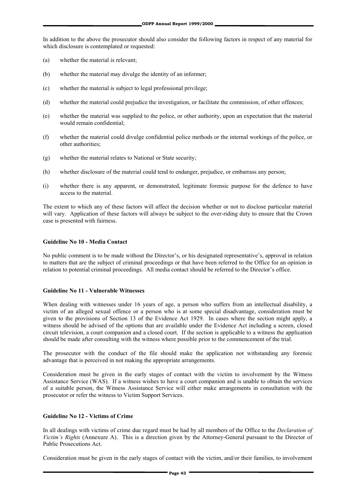In addition to the above the prosecutor should also consider the following factors in respect of any material for which disclosure is contemplated or requested:

- (a) whether the material is relevant;
- (b) whether the material may divulge the identity of an informer;
- (c) whether the material is subject to legal professional privilege;
- (d) whether the material could prejudice the investigation, or facilitate the commission, of other offences;
- (e) whether the material was supplied to the police, or other authority, upon an expectation that the material would remain confidential;
- (f) whether the material could divulge confidential police methods or the internal workings of the police, or other authorities;
- (g) whether the material relates to National or State security;
- (h) whether disclosure of the material could tend to endanger, prejudice, or embarrass any person;
- (i) whether there is any apparent, or demonstrated, legitimate forensic purpose for the defence to have access to the material.

The extent to which any of these factors will affect the decision whether or not to disclose particular material will vary. Application of these factors will always be subject to the over-riding duty to ensure that the Crown case is presented with fairness.

### **Guideline No 10 - Media Contact**

No public comment is to be made without the Director's, or his designated representative's, approval in relation to matters that are the subject of criminal proceedings or that have been referred to the Office for an opinion in relation to potential criminal proceedings. All media contact should be referred to the Director's office.

#### **Guideline No 11 - Vulnerable Witnesses**

When dealing with witnesses under 16 years of age, a person who suffers from an intellectual disability, a victim of an alleged sexual offence or a person who is at some special disadvantage, consideration must be given to the provisions of Section 13 of the Evidence Act 1929. In cases where the section might apply, a witness should be advised of the options that are available under the Evidence Act including a screen, closed circuit television, a court companion and a closed court. If the section is applicable to a witness the application should be made after consulting with the witness where possible prior to the commencement of the trial.

The prosecutor with the conduct of the file should make the application not withstanding any forensic advantage that is perceived in not making the appropriate arrangements.

Consideration must be given in the early stages of contact with the victim to involvement by the Witness Assistance Service (WAS). If a witness wishes to have a court companion and is unable to obtain the services of a suitable person, the Witness Assistance Service will either make arrangements in consultation with the prosecutor or refer the witness to Victim Support Services.

### **Guideline No 12 - Victims of Crime**

In all dealings with victims of crime due regard must be had by all members of the Office to the *Declaration of Victim's Rights* (Annexure A). This is a direction given by the Attorney-General pursuant to the Director of Public Prosecutions Act.

Consideration must be given in the early stages of contact with the victim, and/or their families, to involvement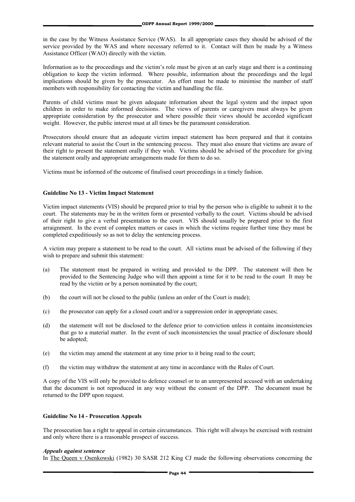in the case by the Witness Assistance Service (WAS). In all appropriate cases they should be advised of the service provided by the WAS and where necessary referred to it. Contact will then be made by a Witness Assistance Officer (WAO) directly with the victim.

Information as to the proceedings and the victim's role must be given at an early stage and there is a continuing obligation to keep the victim informed. Where possible, information about the proceedings and the legal implications should be given by the prosecutor. An effort must be made to minimise the number of staff members with responsibility for contacting the victim and handling the file.

Parents of child victims must be given adequate information about the legal system and the impact upon children in order to make informed decisions. The views of parents or caregivers must always be given appropriate consideration by the prosecutor and where possible their views should be accorded significant weight. However, the public interest must at all times be the paramount consideration.

Prosecutors should ensure that an adequate victim impact statement has been prepared and that it contains relevant material to assist the Court in the sentencing process. They must also ensure that victims are aware of their right to present the statement orally if they wish. Victims should be advised of the procedure for giving the statement orally and appropriate arrangements made for them to do so.

Victims must be informed of the outcome of finalised court proceedings in a timely fashion.

#### **Guideline No 13 - Victim Impact Statement**

Victim impact statements (VIS) should be prepared prior to trial by the person who is eligible to submit it to the court. The statements may be in the written form or presented verbally to the court. Victims should be advised of their right to give a verbal presentation to the court. VIS should usually be prepared prior to the first arraignment. In the event of complex matters or cases in which the victims require further time they must be completed expeditiously so as not to delay the sentencing process.

A victim may prepare a statement to be read to the court. All victims must be advised of the following if they wish to prepare and submit this statement:

- (a) The statement must be prepared in writing and provided to the DPP. The statement will then be provided to the Sentencing Judge who will then appoint a time for it to be read to the court It may be read by the victim or by a person nominated by the court;
- (b) the court will not be closed to the public (unless an order of the Court is made);
- (c) the prosecutor can apply for a closed court and/or a suppression order in appropriate cases;
- (d) the statement will not be disclosed to the defence prior to conviction unless it contains inconsistencies that go to a material matter. In the event of such inconsistencies the usual practice of disclosure should be adopted;
- (e) the victim may amend the statement at any time prior to it being read to the court;
- (f) the victim may withdraw the statement at any time in accordance with the Rules of Court.

A copy of the VIS will only be provided to defence counsel or to an unrepresented accused with an undertaking that the document is not reproduced in any way without the consent of the DPP. The document must be returned to the DPP upon request.

#### **Guideline No 14 - Prosecution Appeals**

The prosecution has a right to appeal in certain circumstances. This right will always be exercised with restraint and only where there is a reasonable prospect of success.

#### *Appeals against sentence*

In The Queen v Osenkowski (1982) 30 SASR 212 King CJ made the following observations concerning the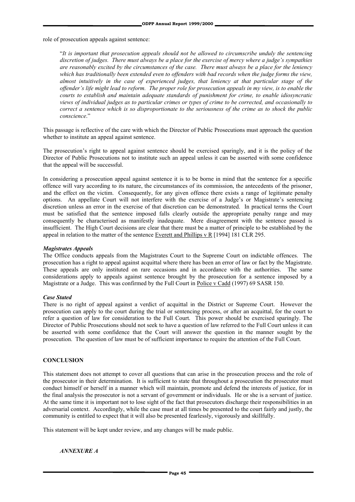role of prosecution appeals against sentence:

 "*It is important that prosecution appeals should not be allowed to circumscribe unduly the sentencing discretion of judges. There must always be a place for the exercise of mercy where a judge's sympathies are reasonably excited by the circumstances of the case. There must always be a place for the leniency which has traditionally been extended even to offenders with bad records when the judge forms the view, almost intuitively in the case of experienced judges, that leniency at that particular stage of the offender's life might lead to reform. The proper role for prosecution appeals in my view, is to enable the courts to establish and maintain adequate standards of punishment for crime, to enable idiosyncratic views of individual judges as to particular crimes or types of crime to be corrected, and occasionally to correct a sentence which is so disproportionate to the seriousness of the crime as to shock the public conscience*."

This passage is reflective of the care with which the Director of Public Prosecutions must approach the question whether to institute an appeal against sentence.

The prosecution's right to appeal against sentence should be exercised sparingly, and it is the policy of the Director of Public Prosecutions not to institute such an appeal unless it can be asserted with some confidence that the appeal will be successful.

In considering a prosecution appeal against sentence it is to be borne in mind that the sentence for a specific offence will vary according to its nature, the circumstances of its commission, the antecedents of the prisoner, and the effect on the victim. Consequently, for any given offence there exists a range of legitimate penalty options. An appellate Court will not interfere with the exercise of a Judge's or Magistrate's sentencing discretion unless an error in the exercise of that discretion can be demonstrated. In practical terms the Court must be satisfied that the sentence imposed falls clearly outside the appropriate penalty range and may consequently be characterised as manifestly inadequate. Mere disagreement with the sentence passed is insufficient. The High Court decisions are clear that there must be a matter of principle to be established by the appeal in relation to the matter of the sentence Everett and Phillips v R [1994] 181 CLR 295.

#### *Magistrates Appeals*

The Office conducts appeals from the Magistrates Court to the Supreme Court on indictable offences. The prosecution has a right to appeal against acquittal where there has been an error of law or fact by the Magistrate. These appeals are only instituted on rare occasions and in accordance with the authorities. The same considerations apply to appeals against sentence brought by the prosecution for a sentence imposed by a Magistrate or a Judge. This was confirmed by the Full Court in Police v Cadd (1997) 69 SASR 150.

#### *Case Stated*

There is no right of appeal against a verdict of acquittal in the District or Supreme Court. However the prosecution can apply to the court during the trial or sentencing process, or after an acquittal, for the court to refer a question of law for consideration to the Full Court. This power should be exercised sparingly. The Director of Public Prosecutions should not seek to have a question of law referred to the Full Court unless it can be asserted with some confidence that the Court will answer the question in the manner sought by the prosecution. The question of law must be of sufficient importance to require the attention of the Full Court.

### **CONCLUSION**

This statement does not attempt to cover all questions that can arise in the prosecution process and the role of the prosecutor in their determination. It is sufficient to state that throughout a prosecution the prosecutor must conduct himself or herself in a manner which will maintain, promote and defend the interests of justice, for in the final analysis the prosecutor is not a servant of government or individuals. He or she is a servant of justice. At the same time it is important not to lose sight of the fact that prosecutors discharge their responsibilities in an adversarial context. Accordingly, while the case must at all times be presented to the court fairly and justly, the community is entitled to expect that it will also be presented fearlessly, vigorously and skillfully.

This statement will be kept under review, and any changes will be made public.

### *ANNEXURE A*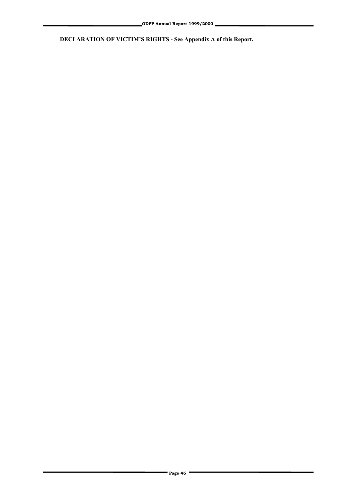**DECLARATION OF VICTIM'S RIGHTS - See Appendix A of this Report.**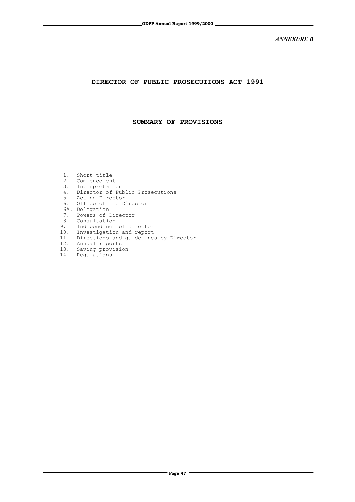*ANNEXURE B* 

### **DIRECTOR OF PUBLIC PROSECUTIONS ACT 1991**

### **SUMMARY OF PROVISIONS**

- 1. Short title
- 2. Commencement
- 3. Interpretation
	- 4. Director of Public Prosecutions
- 5. Acting Director
- 6. Office of the Director
- 6A. Delegation
- 7. Powers of Director
- 8. Consultation 9. Independence of Director
	- 9. Investigation and report<br>10. Investigation and report
- 11. Directions and guidelines by Director
- 12. Annual reports
- 13. Saving provision
- 14. Regulations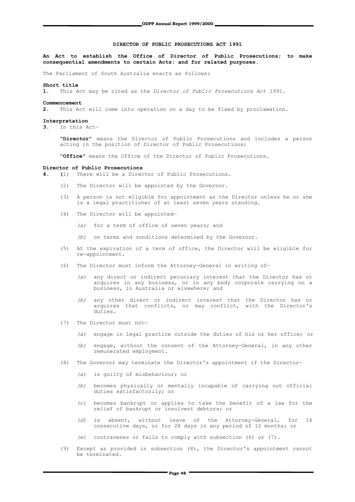#### **DIRECTOR OF PUBLIC PROSECUTIONS ACT 1991**

**An Act to establish the Office of Director of Public Prosecutions; to make consequential amendments to certain Acts; and for related purposes.**

The Parliament of South Australia enacts as follows:

#### **Short title**

**1.** This Act may be cited as the *Director of Public Prosecutions Act 1991*.

### **Commencement**

**2.** This Act will come into operation on a day to be fixed by proclamation.

#### **Interpretation**

**3.** In this Act—

 "**Director**" means the Director of Public Prosecutions and includes a person acting in the position of Director of Public Prosecutions;

"**Office**" means the Office of the Director of Public Prosecutions.

#### **Director of Public Prosecutions**

**4. (**1) There will be a Director of Public Prosecutions.

- (2) The Director will be appointed by the Governor.
- (3) A person is not eligible for appointment as the Director unless he or she is a legal practitioner of at least seven years standing.
- (4) The Director will be appointed—
	- *(a)* for a term of office of seven years; and
	- *(b)* on terms and conditions determined by the Governor.
- (5) At the expiration of a term of office, the Director will be eligible for re-appointment.
- (6) The Director must inform the Attorney-General in writing of—
	- *(a)* any direct or indirect pecuniary interest that the Director has or acquires in any business, or in any body corporate carrying on a business, in Australia or elsewhere; and
	- *(b)* any other direct or indirect interest that the Director has or acquires that conflicts, or may conflict, with the Director's duties.
- (7) The Director must not—
	- *(a)* engage in legal practice outside the duties of his or her office; or
	- *(b)* engage, without the consent of the Attorney-General, in any other remunerated employment.
- (8) The Governor may terminate the Director's appointment if the Director—
	- *(a)* is guilty of misbehaviour; or
	- *(b)* becomes physically or mentally incapable of carrying out official duties satisfactorily; or
	- *(c)* becomes bankrupt or applies to take the benefit of a law for the relief of bankrupt or insolvent debtors; or
	- *(d)* is absent, without leave of the Attorney-General, for 14 consecutive days, or for 28 days in any period of 12 months; or
	- *(e)* contravenes or fails to comply with subsection (6) or (7).
- (9) Except as provided in subsection (8), the Director's appointment cannot be terminated.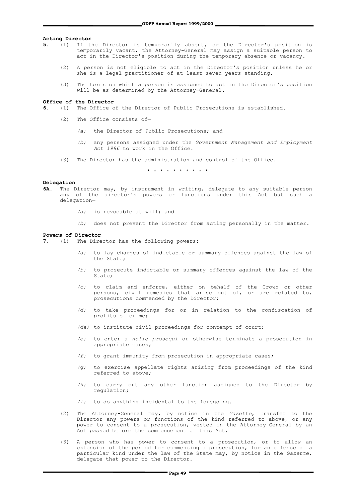#### **Acting Director**

- **5.** (1) If the Director is temporarily absent, or the Director's position is temporarily vacant, the Attorney-General may assign a suitable person to act in the Director's position during the temporary absence or vacancy.
- (2) A person is not eligible to act in the Director's position unless he or she is a legal practitioner of at least seven years standing.
	- (3) The terms on which a person is assigned to act in the Director's position will be as determined by the Attorney-General.

#### **Office of the Director**

- **6.** (1) The Office of the Director of Public Prosecutions is established.
	- (2) The Office consists of—
		- *(a)* the Director of Public Prosecutions; and
		- *(b)* any persons assigned under the *Government Management and Employment Act 1986* to work in the Office.
	- (3) The Director has the administration and control of the Office.

\* \* \* \* \* \* \* \* \* \*

#### **Delegation**

- **6A.** The Director may, by instrument in writing, delegate to any suitable person any of the director's powers or functions under this Act but such a delegation—
	- *(a)* is revocable at will; and
	- *(b)* does not prevent the Director from acting personally in the matter.

#### **Powers of Director**

- **7.** (1) The Director has the following powers:
	- *(a)* to lay charges of indictable or summary offences against the law of the State;
	- *(b)* to prosecute indictable or summary offences against the law of the State;
	- *(c)* to claim and enforce, either on behalf of the Crown or other persons, civil remedies that arise out of, or are related to, prosecutions commenced by the Director;
	- *(d)* to take proceedings for or in relation to the confiscation of profits of crime;
	- *(da)* to institute civil proceedings for contempt of court;
	- *(e)* to enter a *nolle prosequi* or otherwise terminate a prosecution in appropriate cases;
	- *(f)* to grant immunity from prosecution in appropriate cases;
	- *(g)* to exercise appellate rights arising from proceedings of the kind referred to above:
	- *(h)* to carry out any other function assigned to the Director by regulation;
	- *(i)* to do anything incidental to the foregoing.
- (2) The Attorney-General may, by notice in the *Gazette*, transfer to the Director any powers or functions of the kind referred to above, or any power to consent to a prosecution, vested in the Attorney-General by an Act passed before the commencement of this Act.
	- (3) A person who has power to consent to a prosecution, or to allow an extension of the period for commencing a prosecution, for an offence of a particular kind under the law of the State may, by notice in the *Gazette*, delegate that power to the Director.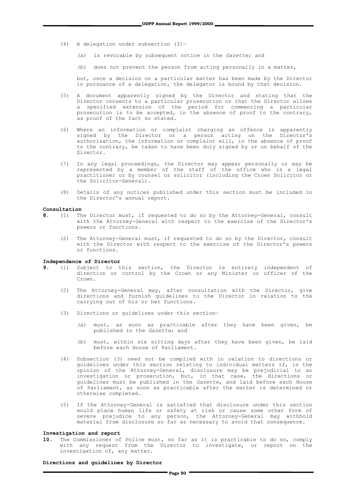- (4) A delegation under subsection (3)—
	- *(a)* is revocable by subsequent notice in the *Gazette*; and
	- *(b)* does not prevent the person from acting personally in a matter,

 but, once a decision on a particular matter has been made by the Director in pursuance of a delegation, the delegator is bound by that decision.

- (5) A document apparently signed by the Director and stating that the Director consents to a particular prosecution or that the Director allows a specified extension of the period for commencing a particular prosecution is to be accepted, in the absence of proof to the contrary, as proof of the fact so stated.
- (6) Where an information or complaint charging an offence is apparently signed by the Director or a person acting on the Director's authorisation, the information or complaint will, in the absence of proof to the contrary, be taken to have been duly signed by or on behalf of the Director.
- (7) In any legal proceedings, the Director may appear personally or may be represented by a member of the staff of the office who is a legal practitioner or by counsel or solicitor (including the Crown Solicitor or the Solicitor-General).
	- (8) Details of any notices published under this section must be included in the Director's annual report.

#### **Consultation**

- **8.** (1) The Director must, if requested to do so by the Attorney-General, consult with the Attorney-General with respect to the exercise of the Director's powers or functions.
	- (2) The Attorney-General must, if requested to do so by the Director, consult with the Director with respect to the exercise of the Director's powers or functions.

#### **Independence of Director**

- **9.** (1) Subject to this section, the Director is entirely independent of direction or control by the Crown or any Minister or officer of the Crown.
	- (2) The Attorney-General may, after consultation with the Director, give directions and furnish guidelines to the Director in relation to the carrying out of his or her functions.
	- (3) Directions or guidelines under this section—
		- *(a)* must, as soon as practicable after they have been given, be published in the *Gazette*; and
		- *(b)* must, within six sitting days after they have been given, be laid before each House of Parliament.
	- (4) Subsection (3) need not be complied with in relation to directions or guidelines under this section relating to individual matters if, in the opinion of the Attorney-General, disclosure may be prejudicial to an investigation or prosecution, but, in that case, the directions or guidelines must be published in the *Gazette*, and laid before each House of Parliament, as soon as practicable after the matter is determined or otherwise completed.
	- (5) If the Attorney-General is satisfied that disclosure under this section would place human life or safety at risk or cause some other form of severe prejudice to any person, the Attorney-General may withhold material from disclosure so far as necessary to avoid that consequence.

#### **Investigation and report**

**10.** The Commissioner of Police must, so far as it is practicable to do so, comply with any request from the Director to investigate, or report on the investigation of, any matter.

#### **Directions and guidelines by Director**